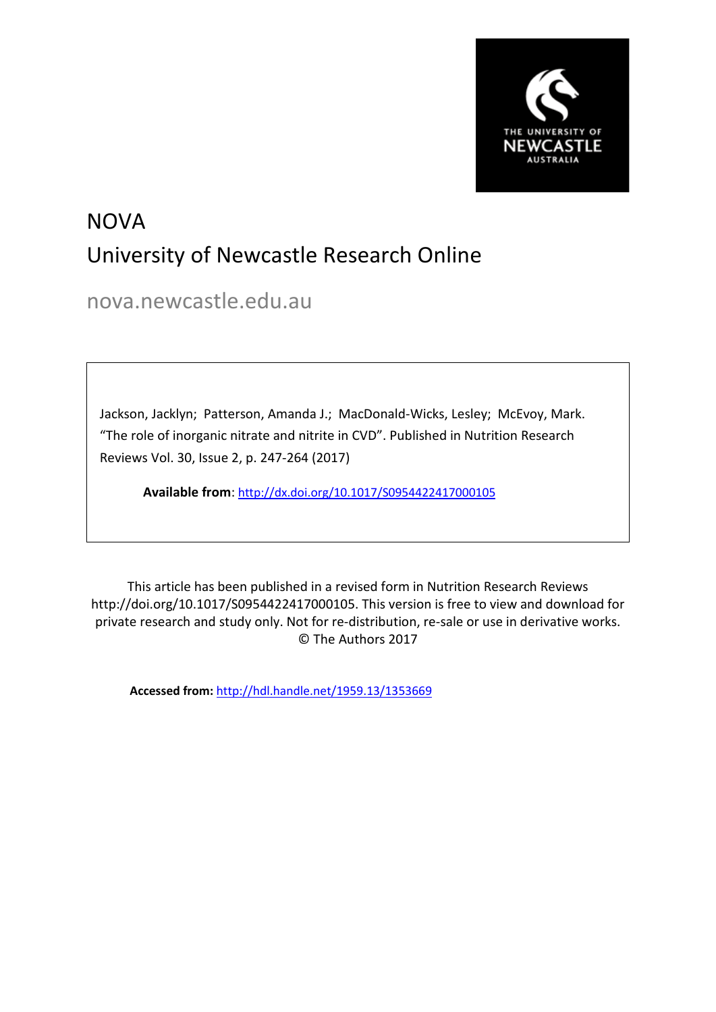

# NOVA University of Newcastle Research Online

nova.newcastle.edu.au

Jackson, Jacklyn; Patterson, Amanda J.; MacDonald-Wicks, Lesley; McEvoy, Mark. "The role of inorganic nitrate and nitrite in CVD". Published in Nutrition Research Reviews Vol. 30, Issue 2, p. 247-264 (2017)

**Available from**: <http://dx.doi.org/10.1017/S0954422417000105>

This article has been published in a revised form in Nutrition Research Reviews http://doi.org/10.1017/S0954422417000105. This version is free to view and download for private research and study only. Not for re-distribution, re-sale or use in derivative works. © The Authors 2017

**Accessed from:** <http://hdl.handle.net/1959.13/1353669>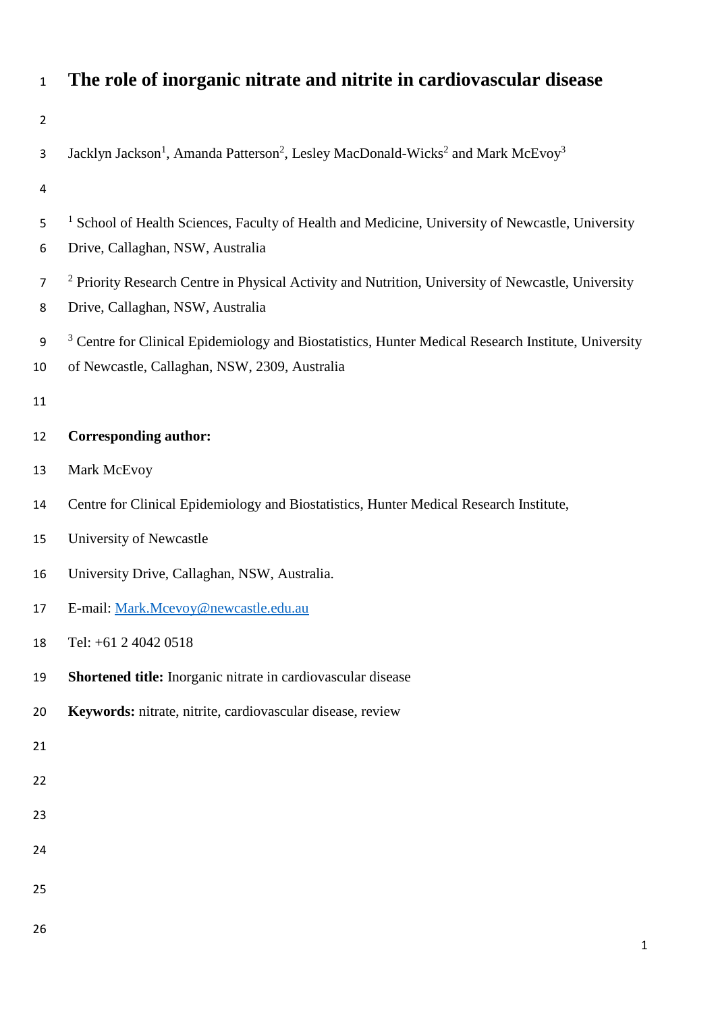| $\mathbf{1}$           | The role of inorganic nitrate and nitrite in cardiovascular disease                                                                                             |
|------------------------|-----------------------------------------------------------------------------------------------------------------------------------------------------------------|
| $\overline{2}$         |                                                                                                                                                                 |
| 3                      | Jacklyn Jackson <sup>1</sup> , Amanda Patterson <sup>2</sup> , Lesley MacDonald-Wicks <sup>2</sup> and Mark McEvoy <sup>3</sup>                                 |
| 4                      |                                                                                                                                                                 |
| 5<br>6                 | <sup>1</sup> School of Health Sciences, Faculty of Health and Medicine, University of Newcastle, University<br>Drive, Callaghan, NSW, Australia                 |
| $\overline{7}$<br>8    | <sup>2</sup> Priority Research Centre in Physical Activity and Nutrition, University of Newcastle, University<br>Drive, Callaghan, NSW, Australia               |
| $\boldsymbol{9}$<br>10 | <sup>3</sup> Centre for Clinical Epidemiology and Biostatistics, Hunter Medical Research Institute, University<br>of Newcastle, Callaghan, NSW, 2309, Australia |
| 11                     |                                                                                                                                                                 |
| 12                     | <b>Corresponding author:</b>                                                                                                                                    |
| 13                     | Mark McEvoy                                                                                                                                                     |
| 14                     | Centre for Clinical Epidemiology and Biostatistics, Hunter Medical Research Institute,                                                                          |
| 15                     | University of Newcastle                                                                                                                                         |
| 16                     | University Drive, Callaghan, NSW, Australia.                                                                                                                    |
| 17                     | E-mail: Mark.Mcevoy@newcastle.edu.au                                                                                                                            |
| 18                     | Tel: +61 2 4042 0518                                                                                                                                            |
| 19                     | Shortened title: Inorganic nitrate in cardiovascular disease                                                                                                    |
| 20                     | Keywords: nitrate, nitrite, cardiovascular disease, review                                                                                                      |
| 21                     |                                                                                                                                                                 |
| 22                     |                                                                                                                                                                 |
| 23                     |                                                                                                                                                                 |
| 24                     |                                                                                                                                                                 |
| 25                     |                                                                                                                                                                 |
| 26                     |                                                                                                                                                                 |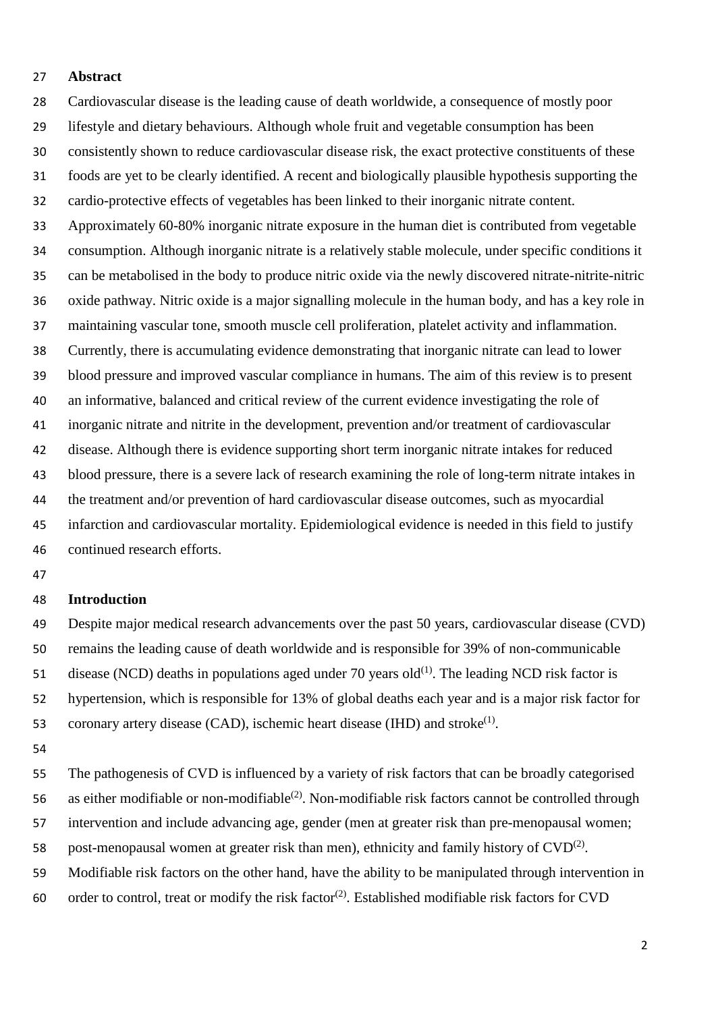## **Abstract**

 Cardiovascular disease is the leading cause of death worldwide, a consequence of mostly poor lifestyle and dietary behaviours. Although whole fruit and vegetable consumption has been consistently shown to reduce cardiovascular disease risk, the exact protective constituents of these foods are yet to be clearly identified. A recent and biologically plausible hypothesis supporting the cardio-protective effects of vegetables has been linked to their inorganic nitrate content. Approximately 60-80% inorganic nitrate exposure in the human diet is contributed from vegetable consumption. Although inorganic nitrate is a relatively stable molecule, under specific conditions it can be metabolised in the body to produce nitric oxide via the newly discovered nitrate-nitrite-nitric oxide pathway. Nitric oxide is a major signalling molecule in the human body, and has a key role in maintaining vascular tone, smooth muscle cell proliferation, platelet activity and inflammation. Currently, there is accumulating evidence demonstrating that inorganic nitrate can lead to lower blood pressure and improved vascular compliance in humans. The aim of this review is to present an informative, balanced and critical review of the current evidence investigating the role of inorganic nitrate and nitrite in the development, prevention and/or treatment of cardiovascular disease. Although there is evidence supporting short term inorganic nitrate intakes for reduced blood pressure, there is a severe lack of research examining the role of long-term nitrate intakes in the treatment and/or prevention of hard cardiovascular disease outcomes, such as myocardial infarction and cardiovascular mortality. Epidemiological evidence is needed in this field to justify continued research efforts.

#### **Introduction**

 Despite major medical research advancements over the past 50 years, cardiovascular disease (CVD) remains the leading cause of death worldwide and is responsible for 39% of non-communicable 51 disease (NCD) deaths in populations aged under 70 years old<sup>(1)</sup>. The leading NCD risk factor is hypertension, which is responsible for 13% of global deaths each year and is a major risk factor for 53 coronary artery disease (CAD), ischemic heart disease (IHD) and stroke<sup>(1)</sup>.

 The pathogenesis of CVD is influenced by a variety of risk factors that can be broadly categorised 56 as either modifiable or non-modifiable<sup>(2)</sup>. Non-modifiable risk factors cannot be controlled through intervention and include advancing age, gender (men at greater risk than pre-menopausal women; 58 post-menopausal women at greater risk than men), ethnicity and family history of  $CVD^{(2)}$ . Modifiable risk factors on the other hand, have the ability to be manipulated through intervention in

60 order to control, treat or modify the risk factor<sup>(2)</sup>. Established modifiable risk factors for CVD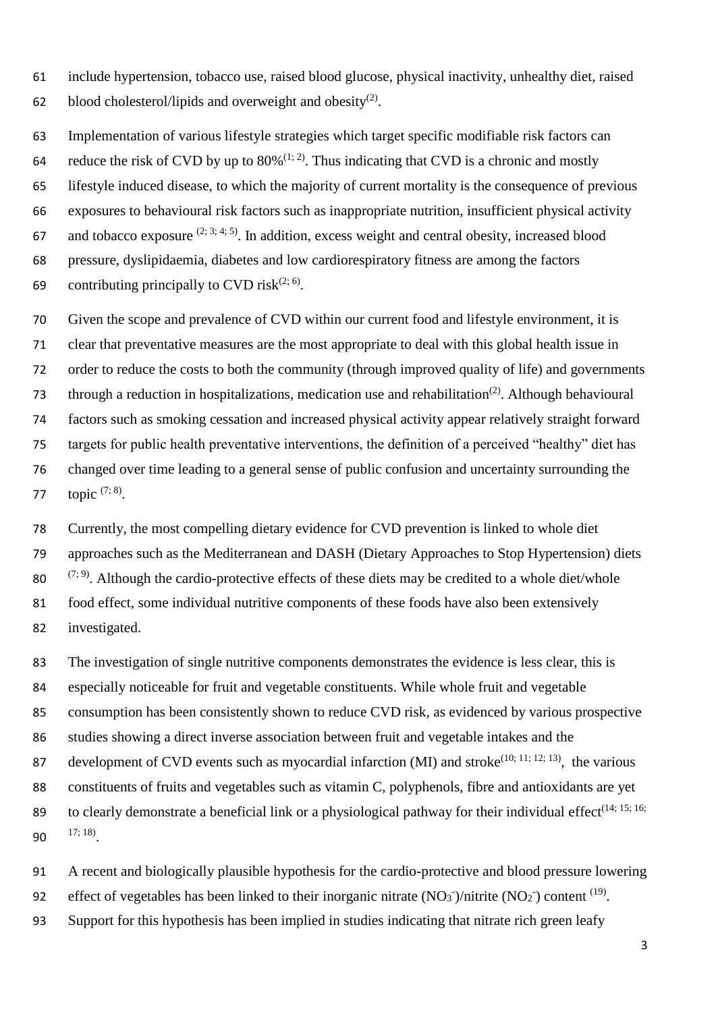include hypertension, tobacco use, raised blood glucose, physical inactivity, unhealthy diet, raised 62 blood cholesterol/lipids and overweight and obesity<sup>(2)</sup>.

 Implementation of various lifestyle strategies which target specific modifiable risk factors can 64 reduce the risk of CVD by up to  $80\%$ <sup>(1; 2)</sup>. Thus indicating that CVD is a chronic and mostly lifestyle induced disease, to which the majority of current mortality is the consequence of previous exposures to behavioural risk factors such as inappropriate nutrition, insufficient physical activity 67 and tobacco exposure  $(2, 3, 4, 5)$ . In addition, excess weight and central obesity, increased blood pressure, dyslipidaemia, diabetes and low cardiorespiratory fitness are among the factors 69 contributing principally to CVD risk<sup> $(2, 6)$ </sup>.

 Given the scope and prevalence of CVD within our current food and lifestyle environment, it is clear that preventative measures are the most appropriate to deal with this global health issue in order to reduce the costs to both the community (through improved quality of life) and governments 73 through a reduction in hospitalizations, medication use and rehabilitation<sup>(2)</sup>. Although behavioural factors such as smoking cessation and increased physical activity appear relatively straight forward targets for public health preventative interventions, the definition of a perceived "healthy" diet has changed over time leading to a general sense of public confusion and uncertainty surrounding the 77 topic  $(7; 8)$ .

 Currently, the most compelling dietary evidence for CVD prevention is linked to whole diet approaches such as the Mediterranean and DASH (Dietary Approaches to Stop Hypertension) diets  $(7, 9)$ . Although the cardio-protective effects of these diets may be credited to a whole diet/whole food effect, some individual nutritive components of these foods have also been extensively investigated.

 The investigation of single nutritive components demonstrates the evidence is less clear, this is especially noticeable for fruit and vegetable constituents. While whole fruit and vegetable consumption has been consistently shown to reduce CVD risk, as evidenced by various prospective studies showing a direct inverse association between fruit and vegetable intakes and the 87 development of CVD events such as myocardial infarction (MI) and stroke<sup>(10; 11; 12; 13)</sup>, the various constituents of fruits and vegetables such as vitamin C, polyphenols, fibre and antioxidants are yet to clearly demonstrate a beneficial link or a physiological pathway for their individual effect<sup>(14; 15; 16; 9</sup> 90  $17; 18$ .

 A recent and biologically plausible hypothesis for the cardio-protective and blood pressure lowering 92 effect of vegetables has been linked to their inorganic nitrate  $(NO<sub>3</sub>^-)/$ nitrite  $(NO<sub>2</sub>^-)$  content <sup>(19)</sup>. Support for this hypothesis has been implied in studies indicating that nitrate rich green leafy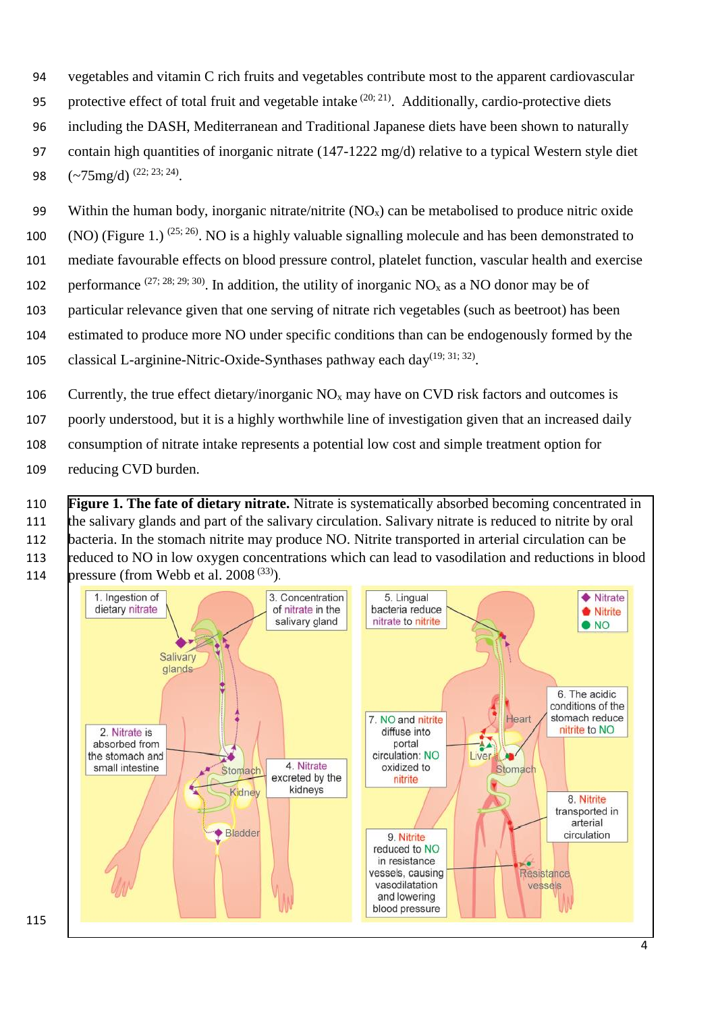- vegetables and vitamin C rich fruits and vegetables contribute most to the apparent cardiovascular
- 95 protective effect of total fruit and vegetable intake  $(20; 21)$ . Additionally, cardio-protective diets
- including the DASH, Mediterranean and Traditional Japanese diets have been shown to naturally
- contain high quantities of inorganic nitrate (147-1222 mg/d) relative to a typical Western style diet
- 98  $(-75mg/d)^{(22; 23; 24)}$ .
- 99 Within the human body, inorganic nitrate/nitrite  $(NO<sub>x</sub>)$  can be metabolised to produce nitric oxide
- 100 (NO) (Figure 1.)  $(25; 26)$ . NO is a highly valuable signalling molecule and has been demonstrated to
- mediate favourable effects on blood pressure control, platelet function, vascular health and exercise
- 102 performance  $(27; 28; 29; 30)$ . In addition, the utility of inorganic NO<sub>x</sub> as a NO donor may be of
- particular relevance given that one serving of nitrate rich vegetables (such as beetroot) has been
- estimated to produce more NO under specific conditions than can be endogenously formed by the
- 105 classical L-arginine-Nitric-Oxide-Synthases pathway each day<sup>(19; 31; 32)</sup>.
- 106 Currently, the true effect dietary/inorganic  $N_{\alpha}$  may have on CVD risk factors and outcomes is
- poorly understood, but it is a highly worthwhile line of investigation given that an increased daily
- consumption of nitrate intake represents a potential low cost and simple treatment option for
- reducing CVD burden.
- **Figure 1. The fate of dietary nitrate.** Nitrate is systematically absorbed becoming concentrated in
- the salivary glands and part of the salivary circulation. Salivary nitrate is reduced to nitrite by oral
- bacteria. In the stomach nitrite may produce NO. Nitrite transported in arterial circulation can be
- 113 reduced to NO in low oxygen concentrations which can lead to vasodilation and reductions in blood 114 bressure (from Webb et al. 2008<sup> $(33)$ </sup>).

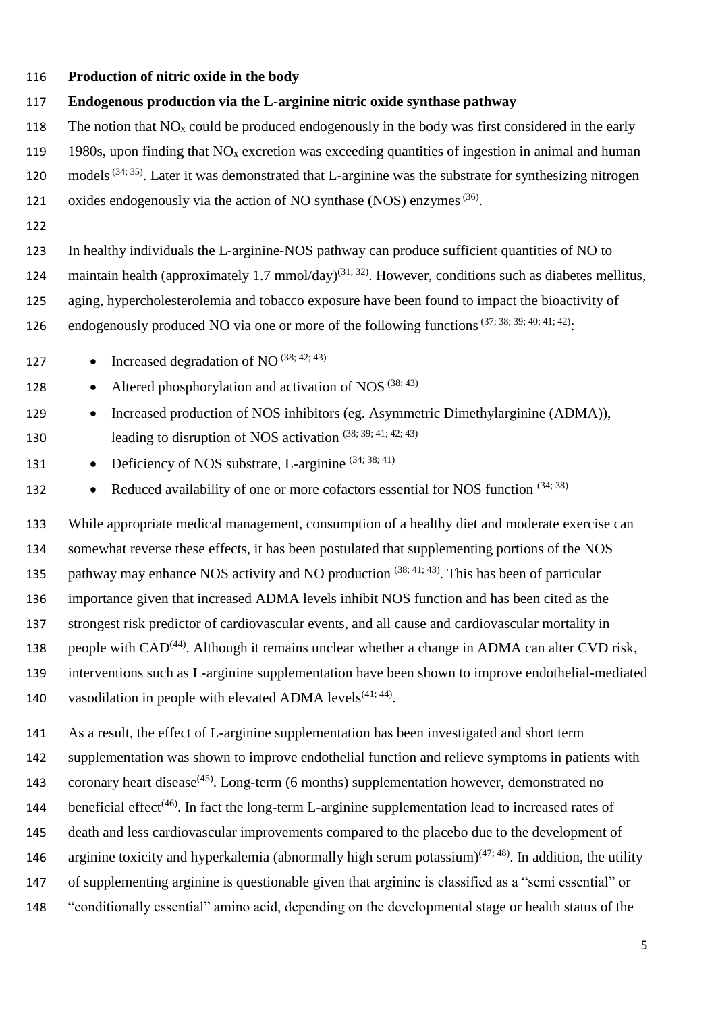- 116 **Production of nitric oxide in the body**
- 117 **Endogenous production via the L-arginine nitric oxide synthase pathway**
- 118 The notion that  $NO<sub>x</sub>$  could be produced endogenously in the body was first considered in the early
- 119 1980s, upon finding that  $NO<sub>x</sub>$  excretion was exceeding quantities of ingestion in animal and human
- 120 models<sup>(34; 35)</sup>. Later it was demonstrated that L-arginine was the substrate for synthesizing nitrogen
- 121 oxides endogenously via the action of NO synthase (NOS) enzymes<sup> $(36)$ </sup>.
- 122

123 In healthy individuals the L-arginine-NOS pathway can produce sufficient quantities of NO to 124 maintain health (approximately 1.7 mmol/day)<sup>(31; 32)</sup>. However, conditions such as diabetes mellitus,

125 aging, hypercholesterolemia and tobacco exposure have been found to impact the bioactivity of

- 126 endogenously produced NO via one or more of the following functions<sup>(37; 38; 39; 40; 41; 42)</sup>:
- 127 Increased degradation of NO  $^{(38; 42; 43)}$
- 128 Altered phosphorylation and activation of NOS  $(38; 43)$
- 129 Increased production of NOS inhibitors (eg. Asymmetric Dimethylarginine (ADMA)), 130 leading to disruption of NOS activation  $(38; 39; 41; 42; 43)$
- 131 Deficiency of NOS substrate, L-arginine  $(34; 38; 41)$
- 132 Reduced availability of one or more cofactors essential for NOS function  $(34; 38)$

 While appropriate medical management, consumption of a healthy diet and moderate exercise can somewhat reverse these effects, it has been postulated that supplementing portions of the NOS 135 pathway may enhance NOS activity and NO production  $(38; 41; 43)$ . This has been of particular importance given that increased ADMA levels inhibit NOS function and has been cited as the strongest risk predictor of cardiovascular events, and all cause and cardiovascular mortality in 138 people with  $CAD<sup>(44)</sup>$ . Although it remains unclear whether a change in ADMA can alter CVD risk, interventions such as L-arginine supplementation have been shown to improve endothelial-mediated 140 vasodilation in people with elevated ADMA levels $(41; 44)$ .

- 141 As a result, the effect of L-arginine supplementation has been investigated and short term
- 142 supplementation was shown to improve endothelial function and relieve symptoms in patients with
- 143 coronary heart disease<sup> $(45)$ </sup>. Long-term (6 months) supplementation however, demonstrated no
- 144 beneficial effect<sup>(46)</sup>. In fact the long-term L-arginine supplementation lead to increased rates of
- 145 death and less cardiovascular improvements compared to the placebo due to the development of
- 146 arginine toxicity and hyperkalemia (abnormally high serum potassium)<sup>(47; 48)</sup>. In addition, the utility
- 147 of supplementing arginine is questionable given that arginine is classified as a "semi essential" or
- 148 "conditionally essential" amino acid, depending on the developmental stage or health status of the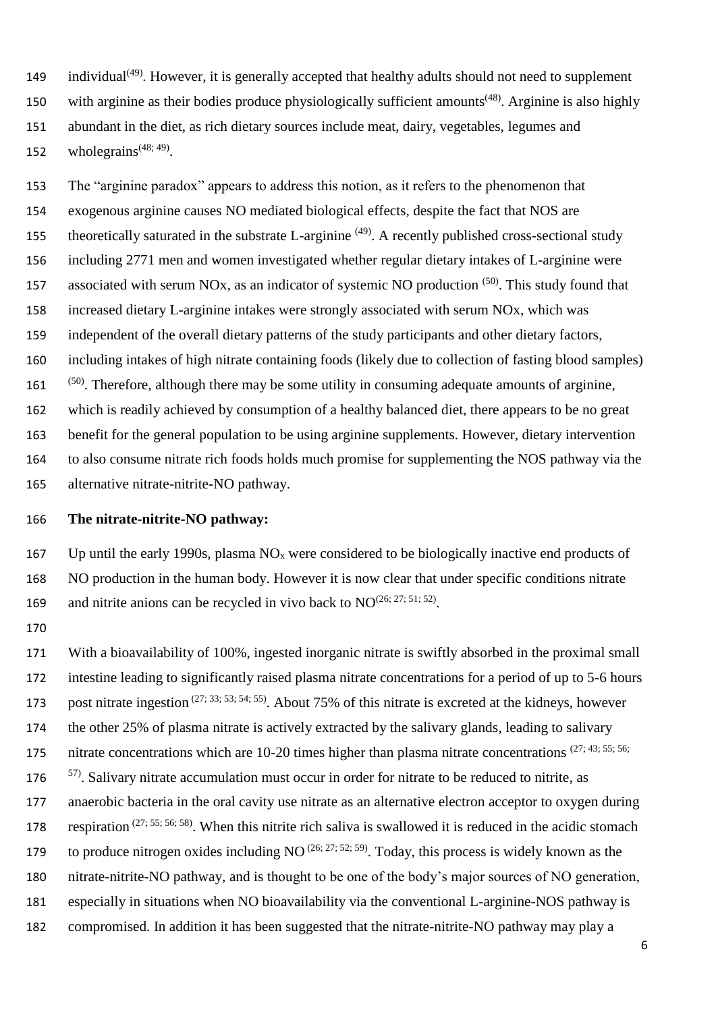149 individual<sup>(49)</sup>. However, it is generally accepted that healthy adults should not need to supplement 150 with arginine as their bodies produce physiologically sufficient amounts<sup> $(48)$ </sup>. Arginine is also highly abundant in the diet, as rich dietary sources include meat, dairy, vegetables, legumes and 152 whole grains<sup> $(48; 49)$ </sup>.

 The "arginine paradox" appears to address this notion, as it refers to the phenomenon that exogenous arginine causes NO mediated biological effects, despite the fact that NOS are theoretically saturated in the substrate L-arginine <sup>(49)</sup>. A recently published cross-sectional study including 2771 men and women investigated whether regular dietary intakes of L-arginine were 157 associated with serum NOx, as an indicator of systemic NO production  $(50)$ . This study found that increased dietary L-arginine intakes were strongly associated with serum NOx, which was independent of the overall dietary patterns of the study participants and other dietary factors, including intakes of high nitrate containing foods (likely due to collection of fasting blood samples) <sup>(50)</sup>. Therefore, although there may be some utility in consuming adequate amounts of arginine, which is readily achieved by consumption of a healthy balanced diet, there appears to be no great benefit for the general population to be using arginine supplements. However, dietary intervention to also consume nitrate rich foods holds much promise for supplementing the NOS pathway via the alternative nitrate-nitrite-NO pathway.

## **The nitrate-nitrite-NO pathway:**

167 Up until the early 1990s, plasma  $NO<sub>x</sub>$  were considered to be biologically inactive end products of NO production in the human body. However it is now clear that under specific conditions nitrate 169 and nitrite anions can be recycled in vivo back to  $NO^{(26; 27; 51; 52)}$ .

 With a bioavailability of 100%, ingested inorganic nitrate is swiftly absorbed in the proximal small intestine leading to significantly raised plasma nitrate concentrations for a period of up to 5-6 hours 173 post nitrate ingestion  $(27; 33; 53; 54; 55)$ . About 75% of this nitrate is excreted at the kidneys, however the other 25% of plasma nitrate is actively extracted by the salivary glands, leading to salivary 175 nitrate concentrations which are  $10-20$  times higher than plasma nitrate concentrations  $(27; 43; 55; 56;$  <sup>57)</sup>. Salivary nitrate accumulation must occur in order for nitrate to be reduced to nitrite, as anaerobic bacteria in the oral cavity use nitrate as an alternative electron acceptor to oxygen during 178 respiration  $(27; 55; 56; 58)$ . When this nitrite rich saliva is swallowed it is reduced in the acidic stomach 179 to produce nitrogen oxides including NO  $(26; 27; 52; 59)$ . Today, this process is widely known as the nitrate-nitrite-NO pathway, and is thought to be one of the body's major sources of NO generation, especially in situations when NO bioavailability via the conventional L-arginine-NOS pathway is compromised. In addition it has been suggested that the nitrate-nitrite-NO pathway may play a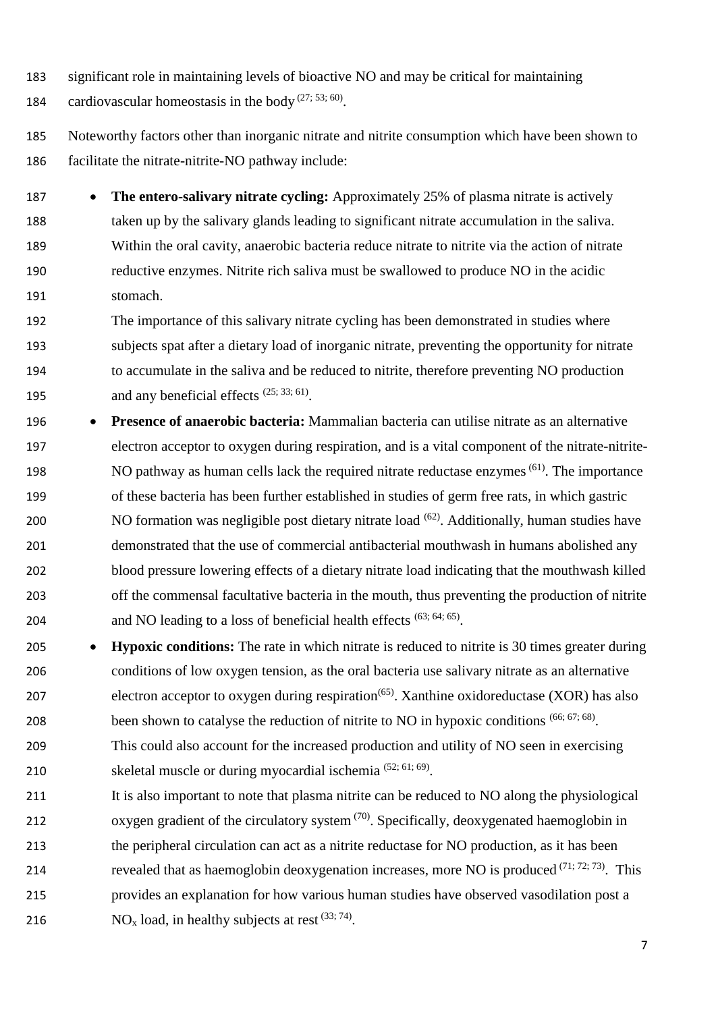- significant role in maintaining levels of bioactive NO and may be critical for maintaining
- 184 cardiovascular homeostasis in the body  $(27, 53, 60)$ .
- Noteworthy factors other than inorganic nitrate and nitrite consumption which have been shown to facilitate the nitrate-nitrite-NO pathway include:
- **The entero-salivary nitrate cycling:** Approximately 25% of plasma nitrate is actively taken up by the salivary glands leading to significant nitrate accumulation in the saliva. Within the oral cavity, anaerobic bacteria reduce nitrate to nitrite via the action of nitrate reductive enzymes. Nitrite rich saliva must be swallowed to produce NO in the acidic stomach.
- The importance of this salivary nitrate cycling has been demonstrated in studies where subjects spat after a dietary load of inorganic nitrate, preventing the opportunity for nitrate to accumulate in the saliva and be reduced to nitrite, therefore preventing NO production 195 and any beneficial effects  $(25, 33, 61)$ .
- **Presence of anaerobic bacteria:** Mammalian bacteria can utilise nitrate as an alternative electron acceptor to oxygen during respiration, and is a vital component of the nitrate-nitrite-198 NO pathway as human cells lack the required nitrate reductase enzymes<sup> $(61)$ </sup>. The importance of these bacteria has been further established in studies of germ free rats, in which gastric 200 NO formation was negligible post dietary nitrate load  $(62)$ . Additionally, human studies have demonstrated that the use of commercial antibacterial mouthwash in humans abolished any blood pressure lowering effects of a dietary nitrate load indicating that the mouthwash killed off the commensal facultative bacteria in the mouth, thus preventing the production of nitrite 204 and NO leading to a loss of beneficial health effects  $(63; 64; 65)$ .
- **Hypoxic conditions:** The rate in which nitrate is reduced to nitrite is 30 times greater during conditions of low oxygen tension, as the oral bacteria use salivary nitrate as an alternative electron acceptor to oxygen during respiration<sup> $(65)$ </sup>. Xanthine oxidoreductase (XOR) has also been shown to catalyse the reduction of nitrite to NO in hypoxic conditions (66; 67; 68). This could also account for the increased production and utility of NO seen in exercising
- 210 skeletal muscle or during myocardial ischemia  $(52; 61; 69)$ .
- It is also important to note that plasma nitrite can be reduced to NO along the physiological 212 oxygen gradient of the circulatory system  $(70)$ . Specifically, deoxygenated haemoglobin in the peripheral circulation can act as a nitrite reductase for NO production, as it has been
- 214 revealed that as haemoglobin deoxygenation increases, more NO is produced  $(71, 72, 73)$ . This
- provides an explanation for how various human studies have observed vasodilation post a
- 216 NO<sub>x</sub> load, in healthy subjects at rest  $(33; 74)$ .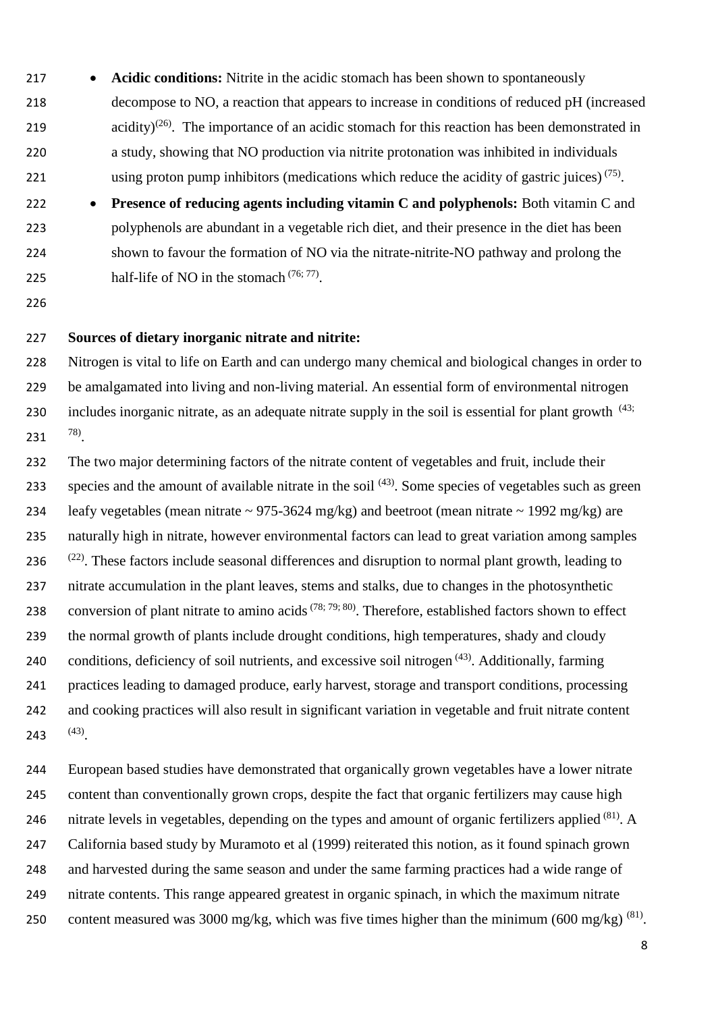- **Acidic conditions:** Nitrite in the acidic stomach has been shown to spontaneously decompose to NO, a reaction that appears to increase in conditions of reduced pH (increased 219  $\alpha$  acidity)<sup>(26)</sup>. The importance of an acidic stomach for this reaction has been demonstrated in a study, showing that NO production via nitrite protonation was inhibited in individuals 221 using proton pump inhibitors (medications which reduce the acidity of gastric juices)  $(75)$ .
- **Presence of reducing agents including vitamin C and polyphenols:** Both vitamin C and polyphenols are abundant in a vegetable rich diet, and their presence in the diet has been shown to favour the formation of NO via the nitrate-nitrite-NO pathway and prolong the 225 half-life of NO in the stomach  $(76, 77)$ .
- 

## **Sources of dietary inorganic nitrate and nitrite:**

 Nitrogen is vital to life on Earth and can undergo many chemical and biological changes in order to be amalgamated into living and non-living material. An essential form of environmental nitrogen 230 includes inorganic nitrate, as an adequate nitrate supply in the soil is essential for plant growth <sup>(43; 230</sup>) 231  $^{78}$ .

 The two major determining factors of the nitrate content of vegetables and fruit, include their species and the amount of available nitrate in the soil  $(43)$ . Some species of vegetables such as green 234 leafy vegetables (mean nitrate  $\sim$  975-3624 mg/kg) and beetroot (mean nitrate  $\sim$  1992 mg/kg) are naturally high in nitrate, however environmental factors can lead to great variation among samples  $(22)$ . These factors include seasonal differences and disruption to normal plant growth, leading to nitrate accumulation in the plant leaves, stems and stalks, due to changes in the photosynthetic 238 conversion of plant nitrate to amino acids<sup> $(78; 79; 80)$ </sup>. Therefore, established factors shown to effect the normal growth of plants include drought conditions, high temperatures, shady and cloudy 240 conditions, deficiency of soil nutrients, and excessive soil nitrogen  $(43)$ . Additionally, farming practices leading to damaged produce, early harvest, storage and transport conditions, processing and cooking practices will also result in significant variation in vegetable and fruit nitrate content 243  $(43)$ .

 European based studies have demonstrated that organically grown vegetables have a lower nitrate content than conventionally grown crops, despite the fact that organic fertilizers may cause high 246 nitrate levels in vegetables, depending on the types and amount of organic fertilizers applied <sup>(81)</sup>. A California based study by Muramoto et al (1999) reiterated this notion, as it found spinach grown and harvested during the same season and under the same farming practices had a wide range of nitrate contents. This range appeared greatest in organic spinach, in which the maximum nitrate 250 content measured was 3000 mg/kg, which was five times higher than the minimum (600 mg/kg)  $^{(81)}$ .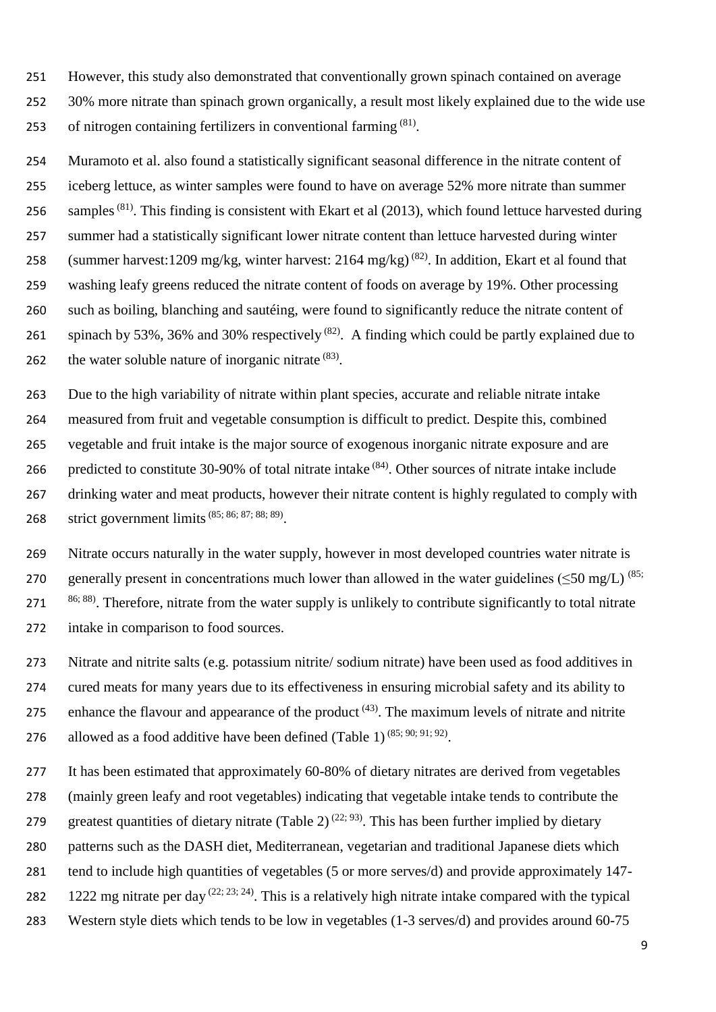However, this study also demonstrated that conventionally grown spinach contained on average 30% more nitrate than spinach grown organically, a result most likely explained due to the wide use 253 of nitrogen containing fertilizers in conventional farming  $(81)$ .

 Muramoto et al. also found a statistically significant seasonal difference in the nitrate content of iceberg lettuce, as winter samples were found to have on average 52% more nitrate than summer 256 samples<sup>(81)</sup>. This finding is consistent with Ekart et al (2013), which found lettuce harvested during summer had a statistically significant lower nitrate content than lettuce harvested during winter 258 (summer harvest:1209 mg/kg, winter harvest: 2164 mg/kg)<sup>(82)</sup>. In addition, Ekart et al found that washing leafy greens reduced the nitrate content of foods on average by 19%. Other processing such as boiling, blanching and sautéing, were found to significantly reduce the nitrate content of 261 spinach by 53%, 36% and 30% respectively  $(82)$ . A finding which could be partly explained due to 262 the water soluble nature of inorganic nitrate  $(83)$ .

 Due to the high variability of nitrate within plant species, accurate and reliable nitrate intake measured from fruit and vegetable consumption is difficult to predict. Despite this, combined vegetable and fruit intake is the major source of exogenous inorganic nitrate exposure and are 266 predicted to constitute 30-90% of total nitrate intake  $(84)$ . Other sources of nitrate intake include drinking water and meat products, however their nitrate content is highly regulated to comply with 268 strict government limits<sup>(85; 86; 87; 88; 89)</sup>.

 Nitrate occurs naturally in the water supply, however in most developed countries water nitrate is 270 generally present in concentrations much lower than allowed in the water guidelines ( $\leq$ 50 mg/L)<sup>(85;</sup> ;  $88$ ). Therefore, nitrate from the water supply is unlikely to contribute significantly to total nitrate intake in comparison to food sources.

 Nitrate and nitrite salts (e.g. potassium nitrite/ sodium nitrate) have been used as food additives in cured meats for many years due to its effectiveness in ensuring microbial safety and its ability to 275 enhance the flavour and appearance of the product  $(43)$ . The maximum levels of nitrate and nitrite 276 allowed as a food additive have been defined (Table 1)  $(85; 90; 91; 92)$ .

 It has been estimated that approximately 60-80% of dietary nitrates are derived from vegetables (mainly green leafy and root vegetables) indicating that vegetable intake tends to contribute the 279 greatest quantities of dietary nitrate (Table 2)<sup>(22; 93)</sup>. This has been further implied by dietary patterns such as the DASH diet, Mediterranean, vegetarian and traditional Japanese diets which tend to include high quantities of vegetables (5 or more serves/d) and provide approximately 147- 282 1222 mg nitrate per day  $(22; 23; 24)$ . This is a relatively high nitrate intake compared with the typical Western style diets which tends to be low in vegetables (1-3 serves/d) and provides around 60-75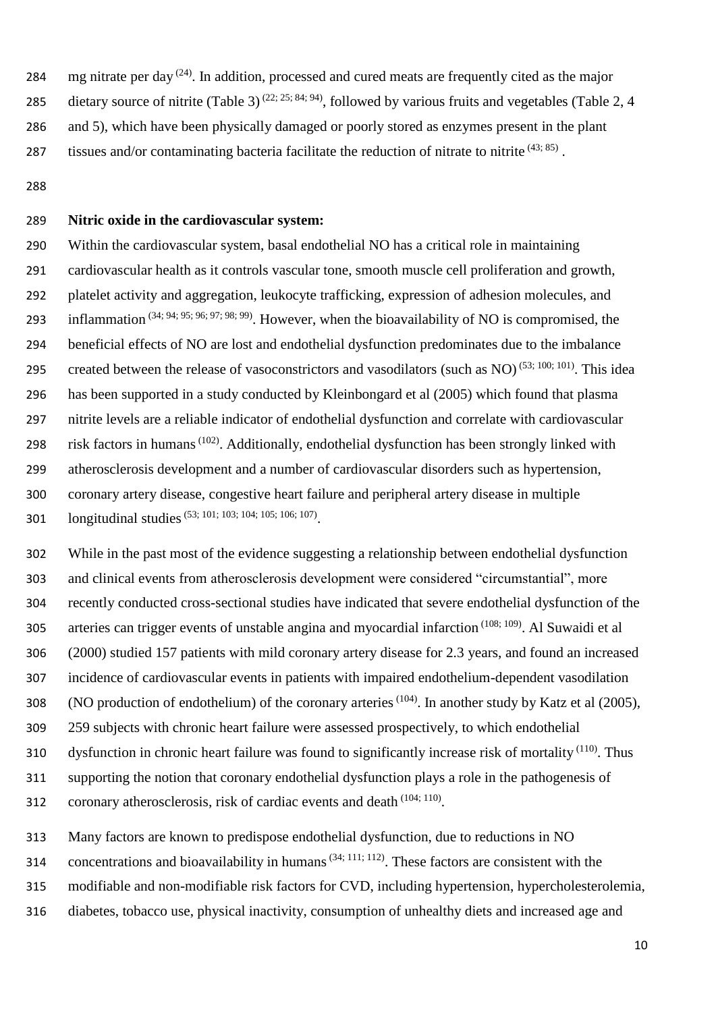284 mg nitrate per day  $(24)$ . In addition, processed and cured meats are frequently cited as the major 285 dietary source of nitrite (Table 3)<sup>(22; 25; 84; 94)</sup>, followed by various fruits and vegetables (Table 2, 4 and 5), which have been physically damaged or poorly stored as enzymes present in the plant 287 tissues and/or contaminating bacteria facilitate the reduction of nitrate to nitrite  $(43; 85)$ .

#### **Nitric oxide in the cardiovascular system:**

 Within the cardiovascular system, basal endothelial NO has a critical role in maintaining cardiovascular health as it controls vascular tone, smooth muscle cell proliferation and growth, platelet activity and aggregation, leukocyte trafficking, expression of adhesion molecules, and 293 inflammation  $(34; 94; 95; 96; 97; 98; 99)$ . However, when the bioavailability of NO is compromised, the beneficial effects of NO are lost and endothelial dysfunction predominates due to the imbalance created between the release of vasoconstrictors and vasodilators (such as NO)<sup>(53; 100; 101)</sup>. This idea has been supported in a study conducted by Kleinbongard et al (2005) which found that plasma nitrite levels are a reliable indicator of endothelial dysfunction and correlate with cardiovascular 298 risk factors in humans<sup>(102)</sup>. Additionally, endothelial dysfunction has been strongly linked with atherosclerosis development and a number of cardiovascular disorders such as hypertension, coronary artery disease, congestive heart failure and peripheral artery disease in multiple 301 longitudinal studies<sup>(53; 101; 103; 104; 105; 106; 107)</sup>.

 While in the past most of the evidence suggesting a relationship between endothelial dysfunction and clinical events from atherosclerosis development were considered "circumstantial", more recently conducted cross-sectional studies have indicated that severe endothelial dysfunction of the 305 arteries can trigger events of unstable angina and myocardial infarction  $(108; 109)$ . Al Suwaidi et al (2000) studied 157 patients with mild coronary artery disease for 2.3 years, and found an increased incidence of cardiovascular events in patients with impaired endothelium-dependent vasodilation 308 (NO production of endothelium) of the coronary arteries<sup>(104)</sup>. In another study by Katz et al (2005), 259 subjects with chronic heart failure were assessed prospectively, to which endothelial 310 dysfunction in chronic heart failure was found to significantly increase risk of mortality  $(110)$ . Thus supporting the notion that coronary endothelial dysfunction plays a role in the pathogenesis of 312 coronary atherosclerosis, risk of cardiac events and death  $(104; 110)$ .

Many factors are known to predispose endothelial dysfunction, due to reductions in NO

314 concentrations and bioavailability in humans<sup> $(34; 111; 112)$ </sup>. These factors are consistent with the

modifiable and non-modifiable risk factors for CVD, including hypertension, hypercholesterolemia,

diabetes, tobacco use, physical inactivity, consumption of unhealthy diets and increased age and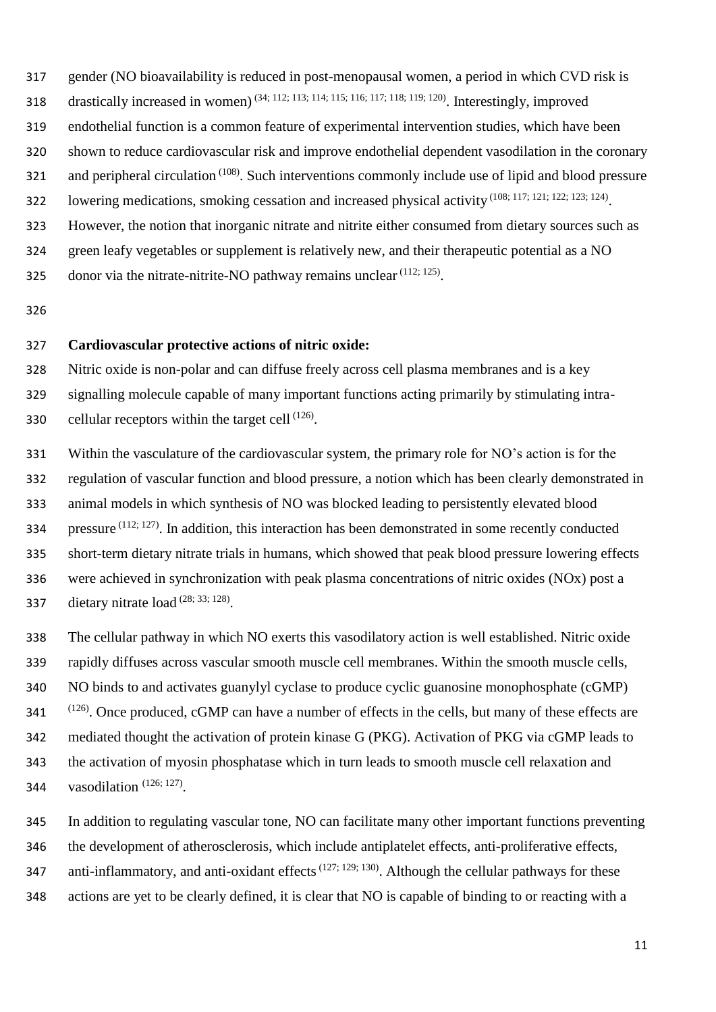- gender (NO bioavailability is reduced in post-menopausal women, a period in which CVD risk is
- 318 drastically increased in women)  $(34; 112; 113; 114; 115; 116; 117; 118; 119; 120)$ . Interestingly, improved
- endothelial function is a common feature of experimental intervention studies, which have been
- shown to reduce cardiovascular risk and improve endothelial dependent vasodilation in the coronary
- and peripheral circulation <sup>(108)</sup>. Such interventions commonly include use of lipid and blood pressure
- 322 lowering medications, smoking cessation and increased physical activity (108; 117; 121; 122; 123; 124).
- However, the notion that inorganic nitrate and nitrite either consumed from dietary sources such as
- green leafy vegetables or supplement is relatively new, and their therapeutic potential as a NO
- 325 donor via the nitrate-nitrite-NO pathway remains unclear  $(112; 125)$ .

## **Cardiovascular protective actions of nitric oxide:**

Nitric oxide is non-polar and can diffuse freely across cell plasma membranes and is a key

 signalling molecule capable of many important functions acting primarily by stimulating intra-330 . cellular receptors within the target cell  $(126)$ .

 Within the vasculature of the cardiovascular system, the primary role for NO's action is for the regulation of vascular function and blood pressure, a notion which has been clearly demonstrated in animal models in which synthesis of NO was blocked leading to persistently elevated blood 334 pressure  $(112; 127)$ . In addition, this interaction has been demonstrated in some recently conducted short-term dietary nitrate trials in humans, which showed that peak blood pressure lowering effects were achieved in synchronization with peak plasma concentrations of nitric oxides (NOx) post a 337 dietary nitrate load  $(28; 33; 128)$ .

- The cellular pathway in which NO exerts this vasodilatory action is well established. Nitric oxide rapidly diffuses across vascular smooth muscle cell membranes. Within the smooth muscle cells, NO binds to and activates guanylyl cyclase to produce cyclic guanosine monophosphate (cGMP) (126) . Once produced, cGMP can have a number of effects in the cells, but many of these effects are mediated thought the activation of protein kinase G (PKG). Activation of PKG via cGMP leads to the activation of myosin phosphatase which in turn leads to smooth muscle cell relaxation and 344 vasodilation  $(126; 127)$ .
- In addition to regulating vascular tone, NO can facilitate many other important functions preventing
- the development of atherosclerosis, which include antiplatelet effects, anti-proliferative effects,
- 347 anti-inflammatory, and anti-oxidant effects<sup> $(127; 129; 130)$ </sup>. Although the cellular pathways for these
- actions are yet to be clearly defined, it is clear that NO is capable of binding to or reacting with a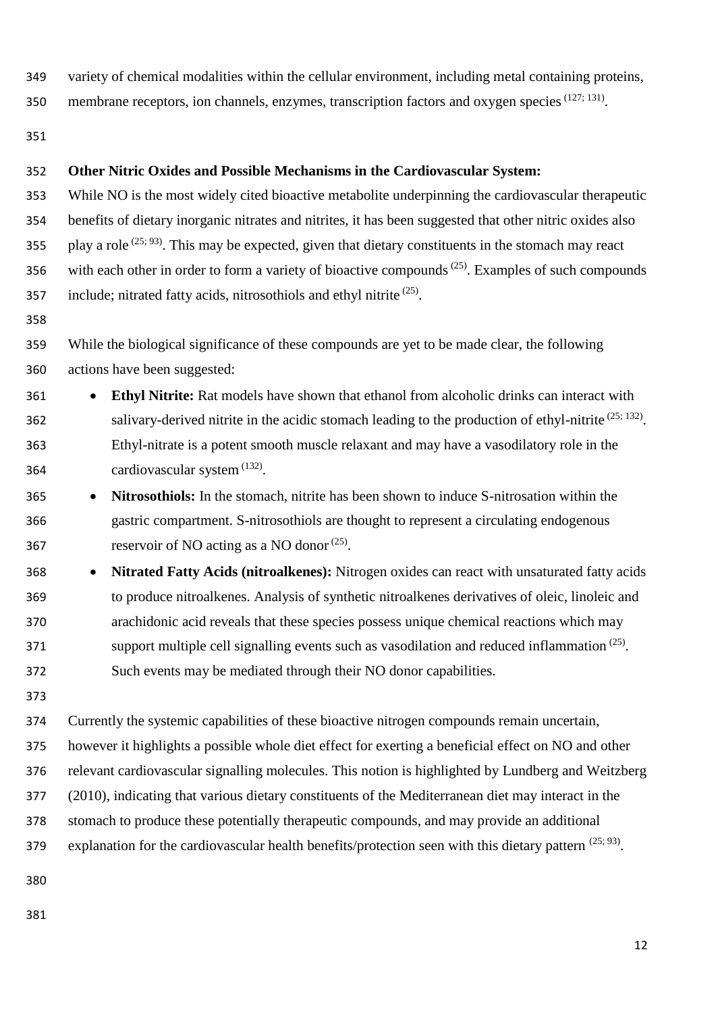variety of chemical modalities within the cellular environment, including metal containing proteins,

350 membrane receptors, ion channels, enzymes, transcription factors and oxygen species  $(127; 131)$ .

## **Other Nitric Oxides and Possible Mechanisms in the Cardiovascular System:**

 While NO is the most widely cited bioactive metabolite underpinning the cardiovascular therapeutic benefits of dietary inorganic nitrates and nitrites, it has been suggested that other nitric oxides also 355 . play a role  $(25; 93)$ . This may be expected, given that dietary constituents in the stomach may react 356 with each other in order to form a variety of bioactive compounds<sup> $(25)$ </sup>. Examples of such compounds 357 include; nitrated fatty acids, nitrosothiols and ethyl nitrite  $(25)$ .

 While the biological significance of these compounds are yet to be made clear, the following actions have been suggested:

- **Ethyl Nitrite:** Rat models have shown that ethanol from alcoholic drinks can interact with salivary-derived nitrite in the acidic stomach leading to the production of ethyl-nitrite  $(25; 132)$ . Ethyl-nitrate is a potent smooth muscle relaxant and may have a vasodilatory role in the 364  $cardiovascular system$ <sup>(132)</sup>.
- **Nitrosothiols:** In the stomach, nitrite has been shown to induce S-nitrosation within the gastric compartment. S-nitrosothiols are thought to represent a circulating endogenous 367 reservoir of NO acting as a NO donor  $(25)$ .
- **Nitrated Fatty Acids (nitroalkenes):** Nitrogen oxides can react with unsaturated fatty acids to produce nitroalkenes. Analysis of synthetic nitroalkenes derivatives of oleic, linoleic and arachidonic acid reveals that these species possess unique chemical reactions which may support multiple cell signalling events such as vasodilation and reduced inflammation  $(25)$ . Such events may be mediated through their NO donor capabilities.
- 

 Currently the systemic capabilities of these bioactive nitrogen compounds remain uncertain, however it highlights a possible whole diet effect for exerting a beneficial effect on NO and other relevant cardiovascular signalling molecules. This notion is highlighted by Lundberg and Weitzberg (2010), indicating that various dietary constituents of the Mediterranean diet may interact in the stomach to produce these potentially therapeutic compounds, and may provide an additional explanation for the cardiovascular health benefits/protection seen with this dietary pattern  $(25; 93)$ .

- 
-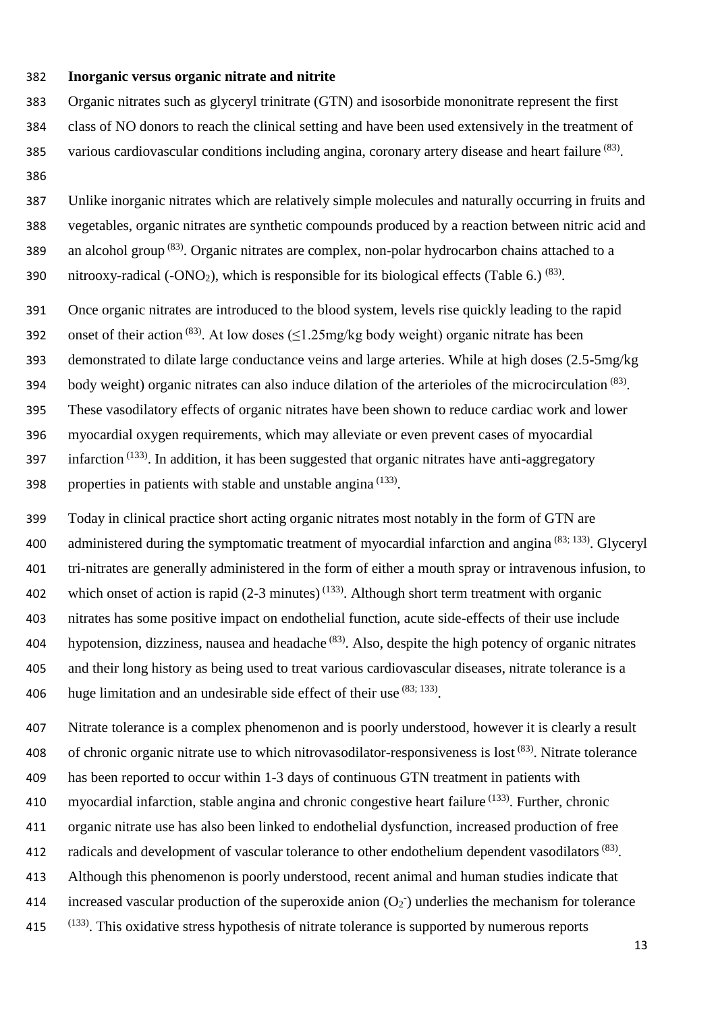## 382 **Inorganic versus organic nitrate and nitrite**

383 Organic nitrates such as glyceryl trinitrate (GTN) and isosorbide mononitrate represent the first

- 384 class of NO donors to reach the clinical setting and have been used extensively in the treatment of
- various cardiovascular conditions including angina, coronary artery disease and heart failure (83).
- 386

387 Unlike inorganic nitrates which are relatively simple molecules and naturally occurring in fruits and 388 vegetables, organic nitrates are synthetic compounds produced by a reaction between nitric acid and 389 an alcohol group  $(83)$ . Organic nitrates are complex, non-polar hydrocarbon chains attached to a 390 nitrooxy-radical (-ONO<sub>2</sub>), which is responsible for its biological effects (Table 6.) <sup>(83)</sup>.

391 Once organic nitrates are introduced to the blood system, levels rise quickly leading to the rapid

392 onset of their action <sup>(83)</sup>. At low doses ( $\leq$ 1.25mg/kg body weight) organic nitrate has been

393 demonstrated to dilate large conductance veins and large arteries. While at high doses (2.5-5mg/kg

body weight) organic nitrates can also induce dilation of the arterioles of the microcirculation (83) 394 .

395 These vasodilatory effects of organic nitrates have been shown to reduce cardiac work and lower

- 396 myocardial oxygen requirements, which may alleviate or even prevent cases of myocardial
- 397 infarction  $(133)$ . In addition, it has been suggested that organic nitrates have anti-aggregatory

398 . properties in patients with stable and unstable angina  $(133)$ .

399 Today in clinical practice short acting organic nitrates most notably in the form of GTN are 400 administered during the symptomatic treatment of myocardial infarction and angina  $(83; 133)$ . Glyceryl 401 tri-nitrates are generally administered in the form of either a mouth spray or intravenous infusion, to 402 which onset of action is rapid  $(2-3 \text{ minutes})^{(133)}$ . Although short term treatment with organic 403 nitrates has some positive impact on endothelial function, acute side-effects of their use include 404 hypotension, dizziness, nausea and headache (83). Also, despite the high potency of organic nitrates 405 and their long history as being used to treat various cardiovascular diseases, nitrate tolerance is a 406 huge limitation and an undesirable side effect of their use  $(83; 133)$ .

407 Nitrate tolerance is a complex phenomenon and is poorly understood, however it is clearly a result 408 of chronic organic nitrate use to which nitrovasodilator-responsiveness is lost  $(83)$ . Nitrate tolerance 409 has been reported to occur within 1-3 days of continuous GTN treatment in patients with 410 myocardial infarction, stable angina and chronic congestive heart failure  $(133)$ . Further, chronic

- 411 organic nitrate use has also been linked to endothelial dysfunction, increased production of free
- ation 412 radicals and development of vascular tolerance to other endothelium dependent vasodilators<sup>(83)</sup>.
- 413 Although this phenomenon is poorly understood, recent animal and human studies indicate that
- 414 increased vascular production of the superoxide anion  $(O_2)$  underlies the mechanism for tolerance
- (133) 415 . This oxidative stress hypothesis of nitrate tolerance is supported by numerous reports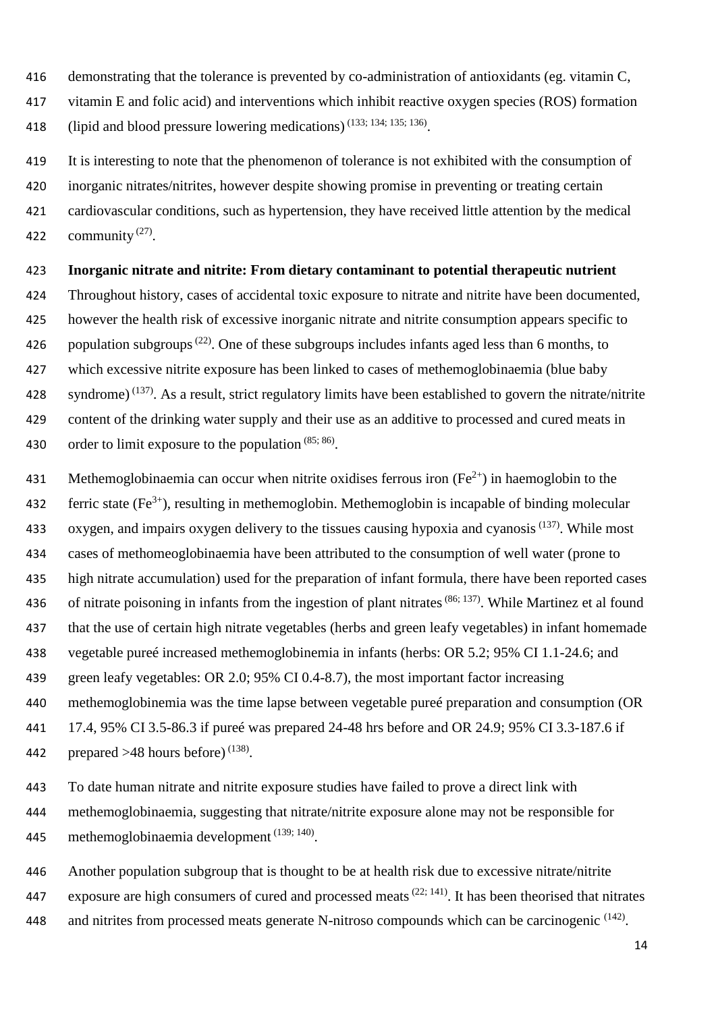- demonstrating that the tolerance is prevented by co-administration of antioxidants (eg. vitamin C,
- vitamin E and folic acid) and interventions which inhibit reactive oxygen species (ROS) formation
- 418 (lipid and blood pressure lowering medications)  $(133; 134; 135; 136)$ .
- It is interesting to note that the phenomenon of tolerance is not exhibited with the consumption of
- inorganic nitrates/nitrites, however despite showing promise in preventing or treating certain
- cardiovascular conditions, such as hypertension, they have received little attention by the medical 422 community  $^{(27)}$ .
- **Inorganic nitrate and nitrite: From dietary contaminant to potential therapeutic nutrient**
- Throughout history, cases of accidental toxic exposure to nitrate and nitrite have been documented, however the health risk of excessive inorganic nitrate and nitrite consumption appears specific to 426 population subgroups<sup> $(22)$ </sup>. One of these subgroups includes infants aged less than 6 months, to
- which excessive nitrite exposure has been linked to cases of methemoglobinaemia (blue baby
- 428 syndrome)<sup> $(137)$ </sup>. As a result, strict regulatory limits have been established to govern the nitrate/nitrite
- content of the drinking water supply and their use as an additive to processed and cured meats in
- 430 order to limit exposure to the population  $(85; 86)$ .
- 431 Methemoglobinaemia can occur when nitrite oxidises ferrous iron  $(Fe^{2+})$  in haemoglobin to the
- 432 ferric state  $(Fe^{3+})$ , resulting in methemoglobin. Methemoglobin is incapable of binding molecular
- 433 oxygen, and impairs oxygen delivery to the tissues causing hypoxia and cyanosis<sup> $(137)$ </sup>. While most
- cases of methomeoglobinaemia have been attributed to the consumption of well water (prone to
- high nitrate accumulation) used for the preparation of infant formula, there have been reported cases
- 436 of nitrate poisoning in infants from the ingestion of plant nitrates  $(86; 137)$ . While Martinez et al found
- that the use of certain high nitrate vegetables (herbs and green leafy vegetables) in infant homemade
- vegetable pureé increased methemoglobinemia in infants (herbs: OR 5.2; 95% CI 1.1-24.6; and
- green leafy vegetables: OR 2.0; 95% CI 0.4-8.7), the most important factor increasing
- methemoglobinemia was the time lapse between vegetable pureé preparation and consumption (OR
- 17.4, 95% CI 3.5-86.3 if pureé was prepared 24-48 hrs before and OR 24.9; 95% CI 3.3-187.6 if
- 442 prepared  $>48$  hours before)<sup>(138)</sup>.
- To date human nitrate and nitrite exposure studies have failed to prove a direct link with
- methemoglobinaemia, suggesting that nitrate/nitrite exposure alone may not be responsible for
- 445 methemoglobinaemia development  $(139; 140)$ .
- Another population subgroup that is thought to be at health risk due to excessive nitrate/nitrite
- 447 exposure are high consumers of cured and processed meats<sup> $(22; 141)$ </sup>. It has been theorised that nitrates
- 448 and nitrites from processed meats generate N-nitroso compounds which can be carcinogenic  $(142)$ .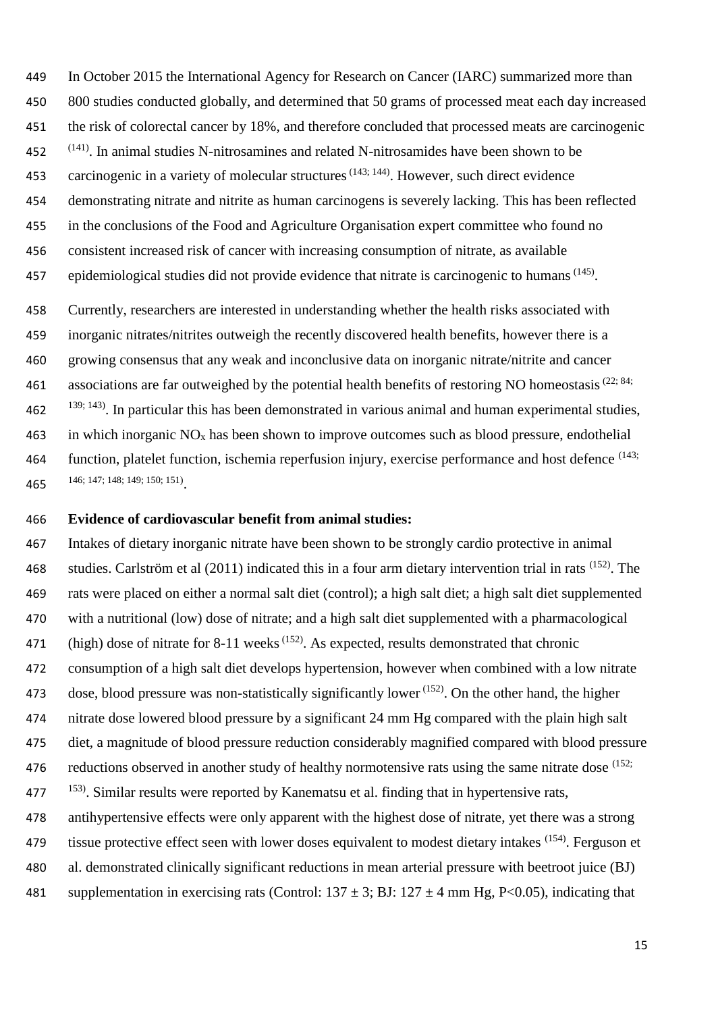In October 2015 the International Agency for Research on Cancer (IARC) summarized more than 800 studies conducted globally, and determined that 50 grams of processed meat each day increased the risk of colorectal cancer by 18%, and therefore concluded that processed meats are carcinogenic (141) . In animal studies N-nitrosamines and related N-nitrosamides have been shown to be 453 carcinogenic in a variety of molecular structures<sup> $(143; 144)$ </sup>. However, such direct evidence demonstrating nitrate and nitrite as human carcinogens is severely lacking. This has been reflected in the conclusions of the Food and Agriculture Organisation expert committee who found no consistent increased risk of cancer with increasing consumption of nitrate, as available 457 epidemiological studies did not provide evidence that nitrate is carcinogenic to humans<sup> $(145)$ </sup>. Currently, researchers are interested in understanding whether the health risks associated with inorganic nitrates/nitrites outweigh the recently discovered health benefits, however there is a growing consensus that any weak and inconclusive data on inorganic nitrate/nitrite and cancer 461 associations are far outweighed by the potential health benefits of restoring NO homeostasis<sup> $(22; 84;$ </sup>  $139; 143$ . In particular this has been demonstrated in various animal and human experimental studies, 463 in which inorganic  $NO<sub>x</sub>$  has been shown to improve outcomes such as blood pressure, endothelial 464 function, platelet function, ischemia reperfusion injury, exercise performance and host defence  $(143; 464)$ 

146; 147; 148; 149; 150; 151)

#### **Evidence of cardiovascular benefit from animal studies:**

 Intakes of dietary inorganic nitrate have been shown to be strongly cardio protective in animal 468 studies. Carlström et al  $(2011)$  indicated this in a four arm dietary intervention trial in rats  $^{(152)}$ . The rats were placed on either a normal salt diet (control); a high salt diet; a high salt diet supplemented with a nutritional (low) dose of nitrate; and a high salt diet supplemented with a pharmacological 471 (high) dose of nitrate for 8-11 weeks<sup> $(152)$ </sup>. As expected, results demonstrated that chronic consumption of a high salt diet develops hypertension, however when combined with a low nitrate 473 dose, blood pressure was non-statistically significantly lower  $(152)$ . On the other hand, the higher nitrate dose lowered blood pressure by a significant 24 mm Hg compared with the plain high salt diet, a magnitude of blood pressure reduction considerably magnified compared with blood pressure 476 reductions observed in another study of healthy normotensive rats using the same nitrate dose (152; . Similar results were reported by Kanematsu et al. finding that in hypertensive rats, antihypertensive effects were only apparent with the highest dose of nitrate, yet there was a strong 479 tissue protective effect seen with lower doses equivalent to modest dietary intakes (154). Ferguson et al. demonstrated clinically significant reductions in mean arterial pressure with beetroot juice (BJ) 481 supplementation in exercising rats (Control:  $137 \pm 3$ ; BJ:  $127 \pm 4$  mm Hg, P<0.05), indicating that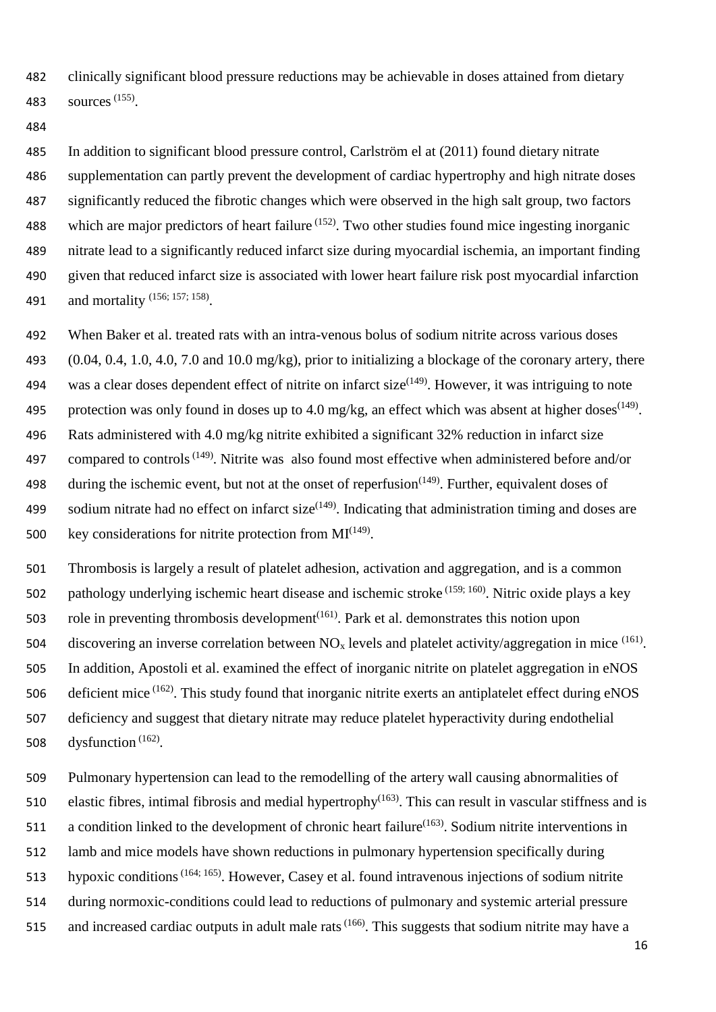482 clinically significant blood pressure reductions may be achievable in doses attained from dietary 483 sources<sup>(155)</sup>.

484

 In addition to significant blood pressure control, Carlström el at (2011) found dietary nitrate supplementation can partly prevent the development of cardiac hypertrophy and high nitrate doses significantly reduced the fibrotic changes which were observed in the high salt group, two factors 488 which are major predictors of heart failure  $(152)$ . Two other studies found mice ingesting inorganic nitrate lead to a significantly reduced infarct size during myocardial ischemia, an important finding given that reduced infarct size is associated with lower heart failure risk post myocardial infarction 491 and mortality (156; 157; 158).

492 When Baker et al. treated rats with an intra-venous bolus of sodium nitrite across various doses

493 (0.04, 0.4, 1.0, 4.0, 7.0 and 10.0 mg/kg), prior to initializing a blockage of the coronary artery, there 494 was a clear doses dependent effect of nitrite on infarct size $(149)$ . However, it was intriguing to note

495 protection was only found in doses up to 4.0 mg/kg, an effect which was absent at higher doses<sup>(149)</sup>.

496 Rats administered with 4.0 mg/kg nitrite exhibited a significant 32% reduction in infarct size

497 compared to controls<sup> $(149)$ </sup>. Nitrite was also found most effective when administered before and/or

- 498 during the ischemic event, but not at the onset of reperfusion<sup> $(149)$ </sup>. Further, equivalent doses of 499 sodium nitrate had no effect on infarct size<sup> $(149)$ </sup>. Indicating that administration timing and doses are
- 500 key considerations for nitrite protection from  $MI<sup>(149)</sup>$ .

501 Thrombosis is largely a result of platelet adhesion, activation and aggregation, and is a common 502 pathology underlying ischemic heart disease and ischemic stroke  $(159; 160)$ . Nitric oxide plays a key

503 role in preventing thrombosis development<sup> $(161)$ </sup>. Park et al. demonstrates this notion upon

504 discovering an inverse correlation between  $NO<sub>x</sub>$  levels and platelet activity/aggregation in mice  $^{(161)}$ . 505 In addition, Apostoli et al. examined the effect of inorganic nitrite on platelet aggregation in eNOS 506 deficient mice <sup>(162)</sup>. This study found that inorganic nitrite exerts an antiplatelet effect during eNOS

- 507 deficiency and suggest that dietary nitrate may reduce platelet hyperactivity during endothelial 508 dysfunction  $(162)$ .
- 509 Pulmonary hypertension can lead to the remodelling of the artery wall causing abnormalities of
- 510 elastic fibres, intimal fibrosis and medial hypertrophy<sup>(163)</sup>. This can result in vascular stiffness and is
- 511 a condition linked to the development of chronic heart failure<sup> $(163)$ </sup>. Sodium nitrite interventions in
- 512 lamb and mice models have shown reductions in pulmonary hypertension specifically during
- 513 hypoxic conditions<sup>(164; 165)</sup>. However, Casey et al. found intravenous injections of sodium nitrite
- 514 during normoxic-conditions could lead to reductions of pulmonary and systemic arterial pressure
- 515 and increased cardiac outputs in adult male rats<sup> $(166)$ </sup>. This suggests that sodium nitrite may have a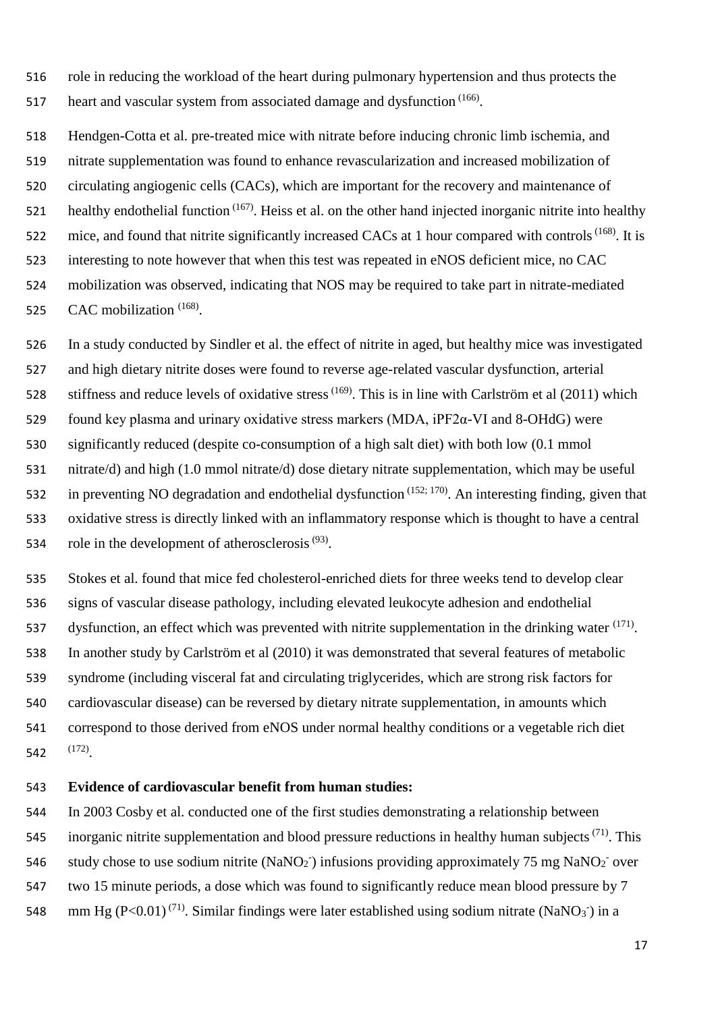role in reducing the workload of the heart during pulmonary hypertension and thus protects the 517 heart and vascular system from associated damage and dysfunction  $(166)$ .

 Hendgen-Cotta et al. pre-treated mice with nitrate before inducing chronic limb ischemia, and nitrate supplementation was found to enhance revascularization and increased mobilization of circulating angiogenic cells (CACs), which are important for the recovery and maintenance of healthy endothelial function  $(167)$ . Heiss et al. on the other hand injected inorganic nitrite into healthy 522 mice, and found that nitrite significantly increased CACs at 1 hour compared with controls<sup>(168)</sup>. It is interesting to note however that when this test was repeated in eNOS deficient mice, no CAC mobilization was observed, indicating that NOS may be required to take part in nitrate-mediated

525 CAC mobilization <sup>(168)</sup>.

In a study conducted by Sindler et al. the effect of nitrite in aged, but healthy mice was investigated

and high dietary nitrite doses were found to reverse age-related vascular dysfunction, arterial

528 stiffness and reduce levels of oxidative stress<sup>(169)</sup>. This is in line with Carlström et al (2011) which

found key plasma and urinary oxidative stress markers (MDA, iPF2α-VI and 8-OHdG) were

significantly reduced (despite co-consumption of a high salt diet) with both low (0.1 mmol

nitrate/d) and high (1.0 mmol nitrate/d) dose dietary nitrate supplementation, which may be useful

532 in preventing NO degradation and endothelial dysfunction  $(152; 170)$ . An interesting finding, given that

 oxidative stress is directly linked with an inflammatory response which is thought to have a central 534 role in the development of atherosclerosis  $(93)$ .

 Stokes et al. found that mice fed cholesterol-enriched diets for three weeks tend to develop clear signs of vascular disease pathology, including elevated leukocyte adhesion and endothelial 537 dysfunction, an effect which was prevented with nitrite supplementation in the drinking water  $(171)$ . In another study by Carlström et al (2010) it was demonstrated that several features of metabolic syndrome (including visceral fat and circulating triglycerides, which are strong risk factors for cardiovascular disease) can be reversed by dietary nitrate supplementation, in amounts which correspond to those derived from eNOS under normal healthy conditions or a vegetable rich diet 542 (172).

## **Evidence of cardiovascular benefit from human studies:**

 In 2003 Cosby et al. conducted one of the first studies demonstrating a relationship between 545 inorganic nitrite supplementation and blood pressure reductions in healthy human subjects  $(71)$ . This 546 study chose to use sodium nitrite (NaNO<sub>2</sub><sup>-</sup>) infusions providing approximately 75 mg NaNO<sub>2</sub><sup>-</sup> over two 15 minute periods, a dose which was found to significantly reduce mean blood pressure by 7 548 mm Hg (P<0.01)<sup>(71)</sup>. Similar findings were later established using sodium nitrate (NaNO<sub>3</sub><sup>-</sup>) in a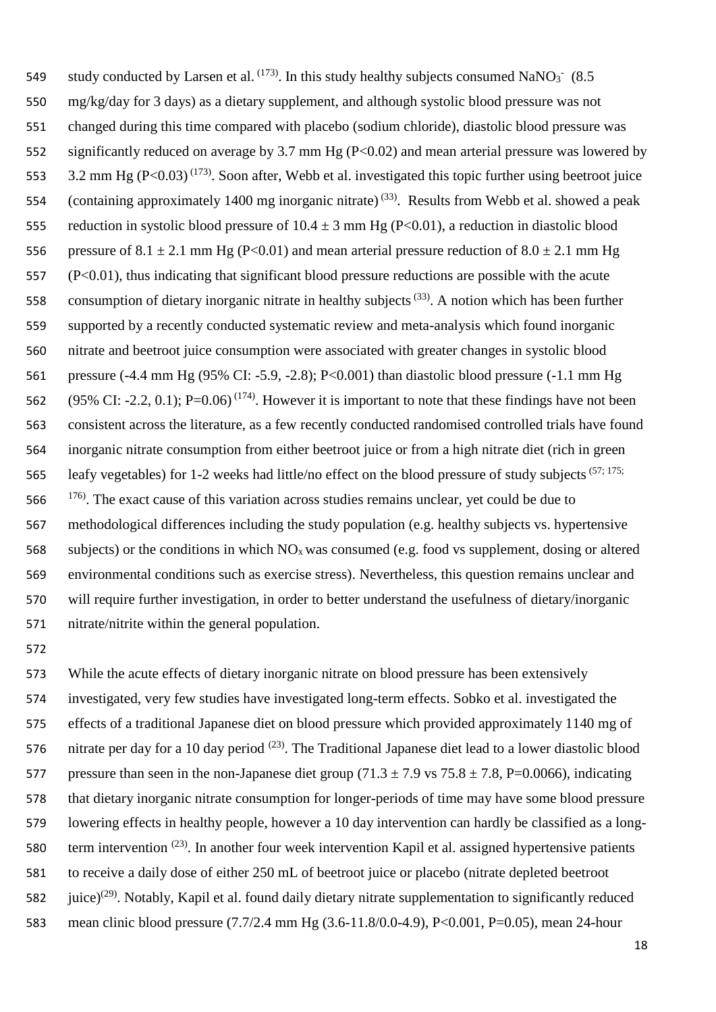549 study conducted by Larsen et al.  $^{(173)}$ . In this study healthy subjects consumed NaNO<sub>3</sub><sup>-</sup> (8.5) mg/kg/day for 3 days) as a dietary supplement, and although systolic blood pressure was not changed during this time compared with placebo (sodium chloride), diastolic blood pressure was significantly reduced on average by 3.7 mm Hg (P<0.02) and mean arterial pressure was lowered by 553 3.2 mm Hg (P<0.03)<sup>(173)</sup>. Soon after, Webb et al. investigated this topic further using beetroot juice 554 (containing approximately 1400 mg inorganic nitrate)<sup>(33)</sup>. Results from Webb et al. showed a peak 555 reduction in systolic blood pressure of  $10.4 \pm 3$  mm Hg (P<0.01), a reduction in diastolic blood 556 pressure of 8.1  $\pm$  2.1 mm Hg (P<0.01) and mean arterial pressure reduction of 8.0  $\pm$  2.1 mm Hg (P<0.01), thus indicating that significant blood pressure reductions are possible with the acute 558 consumption of dietary inorganic nitrate in healthy subjects<sup>(33)</sup>. A notion which has been further supported by a recently conducted systematic review and meta-analysis which found inorganic nitrate and beetroot juice consumption were associated with greater changes in systolic blood pressure (-4.4 mm Hg (95% CI: -5.9, -2.8); P<0.001) than diastolic blood pressure (-1.1 mm Hg 562 (95% CI: -2.2, 0.1); P=0.06)<sup>(174)</sup>. However it is important to note that these findings have not been consistent across the literature, as a few recently conducted randomised controlled trials have found inorganic nitrate consumption from either beetroot juice or from a high nitrate diet (rich in green 565 leafy vegetables) for 1-2 weeks had little/no effect on the blood pressure of study subjects  $(57; 175;$ . The exact cause of this variation across studies remains unclear, yet could be due to methodological differences including the study population (e.g. healthy subjects vs. hypertensive 568 subjects) or the conditions in which  $NO<sub>x</sub>$  was consumed (e.g. food vs supplement, dosing or altered environmental conditions such as exercise stress). Nevertheless, this question remains unclear and will require further investigation, in order to better understand the usefulness of dietary/inorganic nitrate/nitrite within the general population.

 While the acute effects of dietary inorganic nitrate on blood pressure has been extensively investigated, very few studies have investigated long-term effects. Sobko et al. investigated the effects of a traditional Japanese diet on blood pressure which provided approximately 1140 mg of 576 nitrate per day for a 10 day period  $(23)$ . The Traditional Japanese diet lead to a lower diastolic blood 577 pressure than seen in the non-Japanese diet group  $(71.3 \pm 7.9 \text{ vs } 75.8 \pm 7.8, P=0.0066)$ , indicating that dietary inorganic nitrate consumption for longer-periods of time may have some blood pressure lowering effects in healthy people, however a 10 day intervention can hardly be classified as a long-580 term intervention  $(23)$ . In another four week intervention Kapil et al. assigned hypertensive patients to receive a daily dose of either 250 mL of beetroot juice or placebo (nitrate depleted beetroot 582 iuice)<sup>(29)</sup>. Notably, Kapil et al. found daily dietary nitrate supplementation to significantly reduced mean clinic blood pressure (7.7/2.4 mm Hg (3.6-11.8/0.0-4.9), P<0.001, P=0.05), mean 24-hour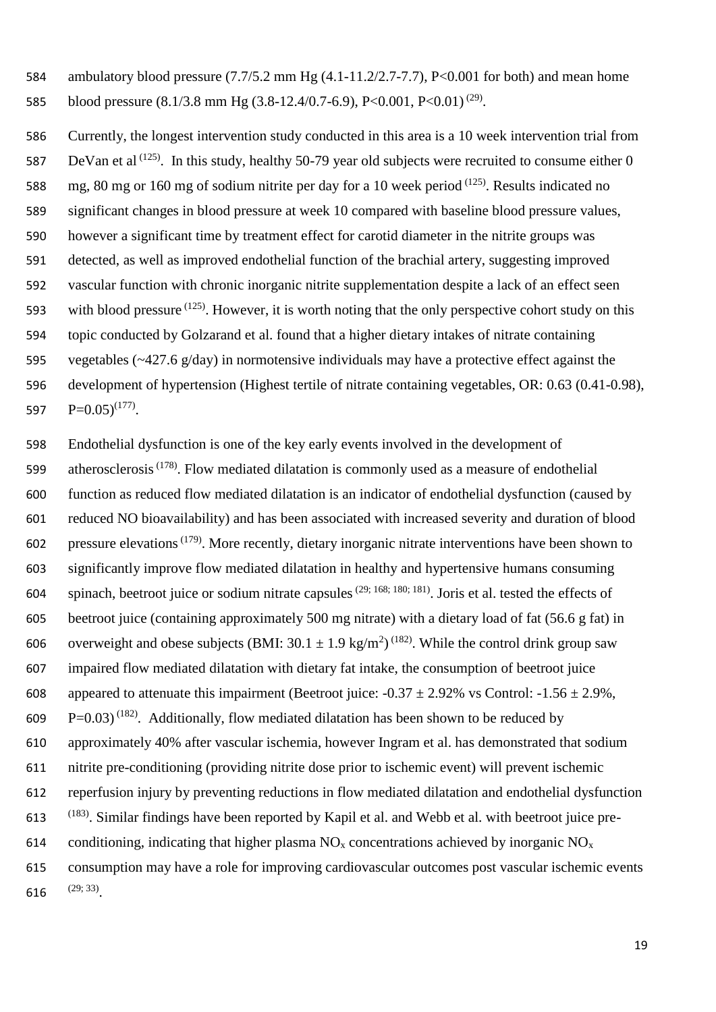ambulatory blood pressure (7.7/5.2 mm Hg (4.1-11.2/2.7-7.7), P<0.001 for both) and mean home 585 blood pressure  $(8.1/3.8 \text{ mm Hg } (3.8-12.4/0.7-6.9), P<0.001, P<0.01)$ <sup>(29)</sup>.

 Currently, the longest intervention study conducted in this area is a 10 week intervention trial from 587 DeVan et al  $(125)$ . In this study, healthy 50-79 year old subjects were recruited to consume either 0 588 mg, 80 mg or 160 mg of sodium nitrite per day for a 10 week period  $(125)$ . Results indicated no significant changes in blood pressure at week 10 compared with baseline blood pressure values, however a significant time by treatment effect for carotid diameter in the nitrite groups was detected, as well as improved endothelial function of the brachial artery, suggesting improved vascular function with chronic inorganic nitrite supplementation despite a lack of an effect seen 593 with blood pressure  $(125)$ . However, it is worth noting that the only perspective cohort study on this topic conducted by Golzarand et al. found that a higher dietary intakes of nitrate containing vegetables (~427.6 g/day) in normotensive individuals may have a protective effect against the development of hypertension (Highest tertile of nitrate containing vegetables, OR: 0.63 (0.41-0.98),  $P=0.05$ <sup>(177)</sup>.

 Endothelial dysfunction is one of the key early events involved in the development of 599 atherosclerosis<sup> $(178)$ </sup>. Flow mediated dilatation is commonly used as a measure of endothelial function as reduced flow mediated dilatation is an indicator of endothelial dysfunction (caused by reduced NO bioavailability) and has been associated with increased severity and duration of blood pressure elevations<sup>(179)</sup>. More recently, dietary inorganic nitrate interventions have been shown to significantly improve flow mediated dilatation in healthy and hypertensive humans consuming 604 spinach, beetroot juice or sodium nitrate capsules<sup>(29; 168; 180; 181)</sup>. Joris et al. tested the effects of beetroot juice (containing approximately 500 mg nitrate) with a dietary load of fat (56.6 g fat) in 606 overweight and obese subjects (BMI:  $30.1 \pm 1.9$  kg/m<sup>2</sup>)<sup>(182)</sup>. While the control drink group saw impaired flow mediated dilatation with dietary fat intake, the consumption of beetroot juice 608 appeared to attenuate this impairment (Beetroot juice:  $-0.37 \pm 2.92\%$  vs Control:  $-1.56 \pm 2.9\%$ ,  $P=0.03$ <sup>(182)</sup>. Additionally, flow mediated dilatation has been shown to be reduced by approximately 40% after vascular ischemia, however Ingram et al. has demonstrated that sodium nitrite pre-conditioning (providing nitrite dose prior to ischemic event) will prevent ischemic reperfusion injury by preventing reductions in flow mediated dilatation and endothelial dysfunction (183) . Similar findings have been reported by Kapil et al. and Webb et al. with beetroot juice pre-614 conditioning, indicating that higher plasma  $NO_x$  concentrations achieved by inorganic  $NO_x$  consumption may have a role for improving cardiovascular outcomes post vascular ischemic events  $(29; 33)$ .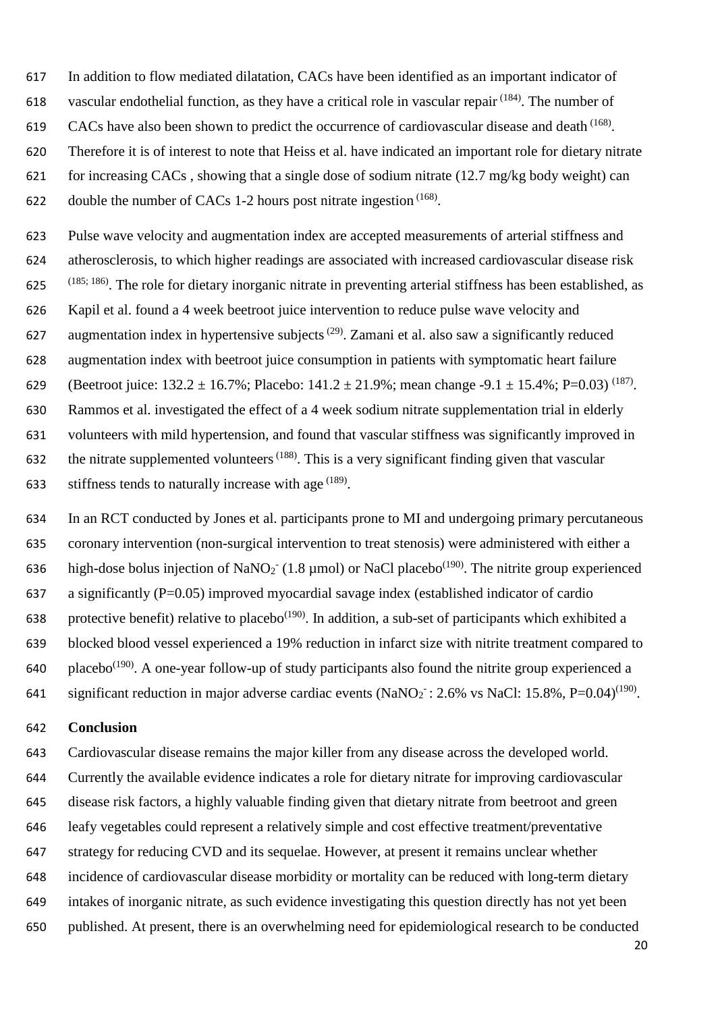- In addition to flow mediated dilatation, CACs have been identified as an important indicator of
- 618 vascular endothelial function, as they have a critical role in vascular repair  $(184)$ . The number of
- 619 CACs have also been shown to predict the occurrence of cardiovascular disease and death  $(168)$ .
- Therefore it is of interest to note that Heiss et al. have indicated an important role for dietary nitrate
- for increasing CACs , showing that a single dose of sodium nitrate (12.7 mg/kg body weight) can
- 622 double the number of CACs 1-2 hours post nitrate ingestion  $(168)$ .
- Pulse wave velocity and augmentation index are accepted measurements of arterial stiffness and atherosclerosis, to which higher readings are associated with increased cardiovascular disease risk  $(185; 186)$ . The role for dietary inorganic nitrate in preventing arterial stiffness has been established, as Kapil et al. found a 4 week beetroot juice intervention to reduce pulse wave velocity and 627 augmentation index in hypertensive subjects<sup> $(29)$ </sup>. Zamani et al. also saw a significantly reduced augmentation index with beetroot juice consumption in patients with symptomatic heart failure 629 (Beetroot juice:  $132.2 \pm 16.7\%$ ; Placebo:  $141.2 \pm 21.9\%$ ; mean change -9.1  $\pm$  15.4%; P=0.03)<sup>(187)</sup>. Rammos et al. investigated the effect of a 4 week sodium nitrate supplementation trial in elderly volunteers with mild hypertension, and found that vascular stiffness was significantly improved in 632 the nitrate supplemented volunteers<sup> $(188)$ </sup>. This is a very significant finding given that vascular
- 633 stiffness tends to naturally increase with age  $(189)$ .
- In an RCT conducted by Jones et al. participants prone to MI and undergoing primary percutaneous coronary intervention (non-surgical intervention to treat stenosis) were administered with either a 636 high-dose bolus injection of NaNO<sub>2</sub> (1.8 µmol) or NaCl placebo<sup>(190)</sup>. The nitrite group experienced 637 a significantly ( $P=0.05$ ) improved myocardial savage index (established indicator of cardio 638 protective benefit) relative to placebo<sup>(190)</sup>. In addition, a sub-set of participants which exhibited a blocked blood vessel experienced a 19% reduction in infarct size with nitrite treatment compared to 640 placebo<sup>(190)</sup>. A one-year follow-up of study participants also found the nitrite group experienced a
- 641 significant reduction in major adverse cardiac events  $(NaNO<sub>2</sub>: 2.6\%$  vs NaCl: 15.8%, P=0.04)<sup>(190)</sup>.

#### **Conclusion**

 Cardiovascular disease remains the major killer from any disease across the developed world. Currently the available evidence indicates a role for dietary nitrate for improving cardiovascular disease risk factors, a highly valuable finding given that dietary nitrate from beetroot and green leafy vegetables could represent a relatively simple and cost effective treatment/preventative strategy for reducing CVD and its sequelae. However, at present it remains unclear whether incidence of cardiovascular disease morbidity or mortality can be reduced with long-term dietary intakes of inorganic nitrate, as such evidence investigating this question directly has not yet been published. At present, there is an overwhelming need for epidemiological research to be conducted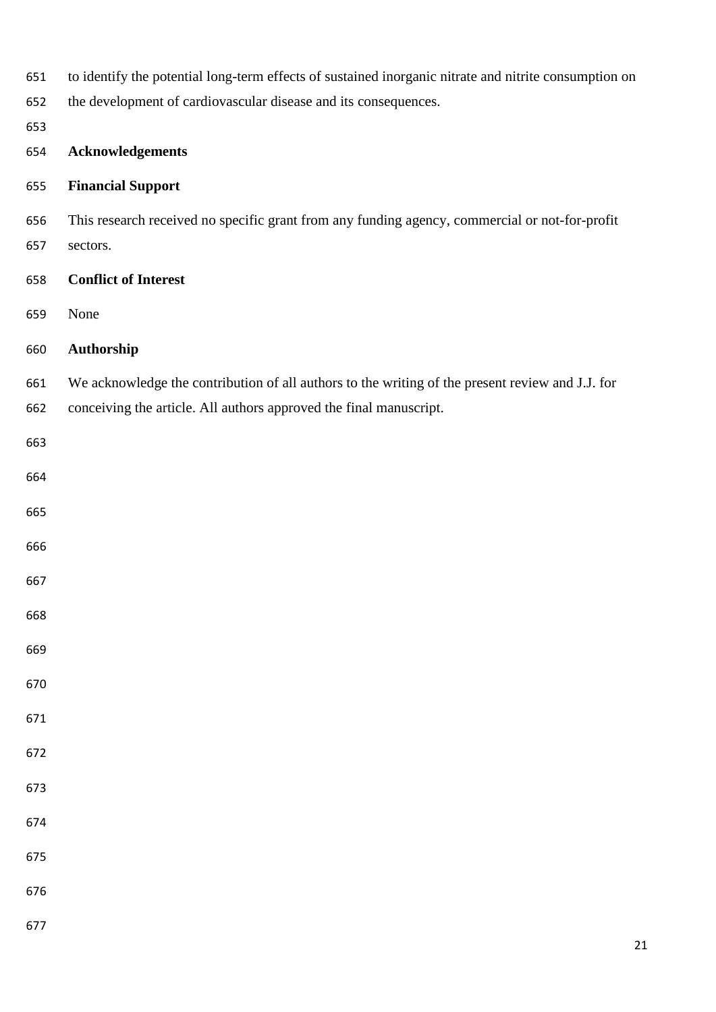| 651 | to identify the potential long-term effects of sustained inorganic nitrate and nitrite consumption on |        |  |  |  |
|-----|-------------------------------------------------------------------------------------------------------|--------|--|--|--|
| 652 | the development of cardiovascular disease and its consequences.                                       |        |  |  |  |
| 653 |                                                                                                       |        |  |  |  |
| 654 | <b>Acknowledgements</b>                                                                               |        |  |  |  |
| 655 | <b>Financial Support</b>                                                                              |        |  |  |  |
| 656 | This research received no specific grant from any funding agency, commercial or not-for-profit        |        |  |  |  |
| 657 | sectors.                                                                                              |        |  |  |  |
| 658 | <b>Conflict of Interest</b>                                                                           |        |  |  |  |
| 659 | None                                                                                                  |        |  |  |  |
| 660 | Authorship                                                                                            |        |  |  |  |
| 661 | We acknowledge the contribution of all authors to the writing of the present review and J.J. for      |        |  |  |  |
| 662 | conceiving the article. All authors approved the final manuscript.                                    |        |  |  |  |
| 663 |                                                                                                       |        |  |  |  |
| 664 |                                                                                                       |        |  |  |  |
| 665 |                                                                                                       |        |  |  |  |
| 666 |                                                                                                       |        |  |  |  |
| 667 |                                                                                                       |        |  |  |  |
| 668 |                                                                                                       |        |  |  |  |
| 669 |                                                                                                       |        |  |  |  |
| 670 |                                                                                                       |        |  |  |  |
| 671 |                                                                                                       |        |  |  |  |
| 672 |                                                                                                       |        |  |  |  |
| 673 |                                                                                                       |        |  |  |  |
| 674 |                                                                                                       |        |  |  |  |
| 675 |                                                                                                       |        |  |  |  |
| 676 |                                                                                                       |        |  |  |  |
| 677 |                                                                                                       |        |  |  |  |
|     |                                                                                                       | $21\,$ |  |  |  |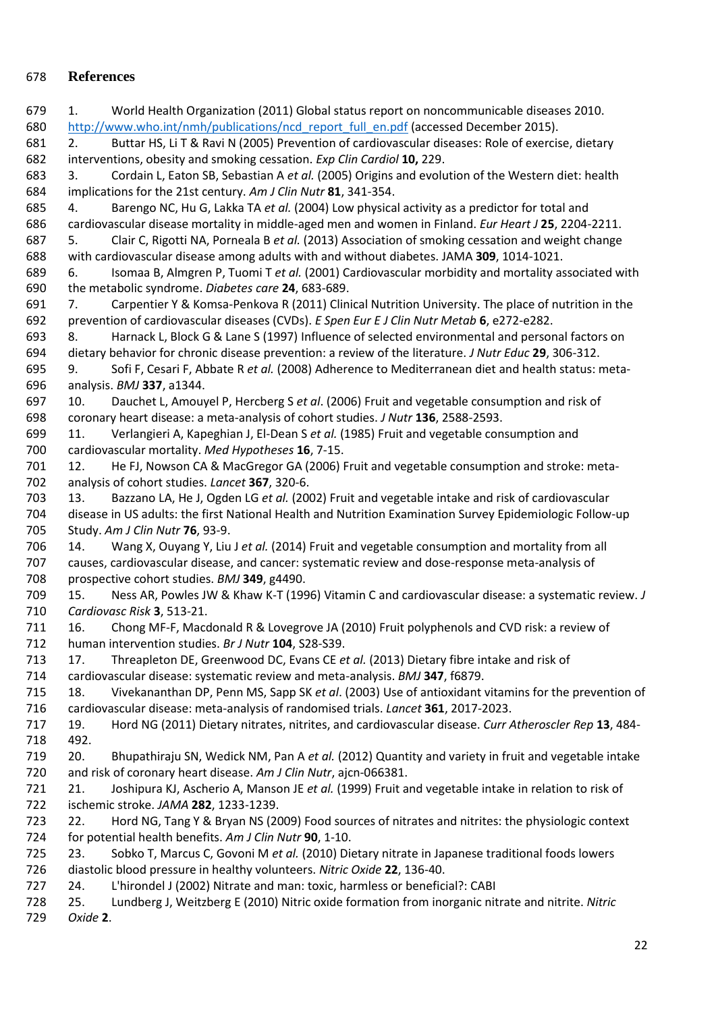# **References**

 1. World Health Organization (2011) Global status report on noncommunicable diseases 2010. 680 http://www.who.int/nmh/publications/ncd report full en.pdf (accessed December 2015). 2. Buttar HS, Li T & Ravi N (2005) Prevention of cardiovascular diseases: Role of exercise, dietary interventions, obesity and smoking cessation. *Exp Clin Cardiol* **10,** 229. 3. Cordain L, Eaton SB, Sebastian A *et al.* (2005) Origins and evolution of the Western diet: health implications for the 21st century. *Am J Clin Nutr* **81**, 341-354. 4. Barengo NC, Hu G, Lakka TA *et al.* (2004) Low physical activity as a predictor for total and cardiovascular disease mortality in middle-aged men and women in Finland. *Eur Heart J* **25**, 2204-2211. 5. Clair C, Rigotti NA, Porneala B *et al.* (2013) Association of smoking cessation and weight change with cardiovascular disease among adults with and without diabetes. JAMA **309**, 1014-1021. 6. Isomaa B, Almgren P, Tuomi T *et al.* (2001) Cardiovascular morbidity and mortality associated with the metabolic syndrome. *Diabetes care* **24**, 683-689. 7. Carpentier Y & Komsa-Penkova R (2011) Clinical Nutrition University. The place of nutrition in the prevention of cardiovascular diseases (CVDs). *E Spen Eur E J Clin Nutr Metab* **6**, e272-e282. 8. Harnack L, Block G & Lane S (1997) Influence of selected environmental and personal factors on dietary behavior for chronic disease prevention: a review of the literature. *J Nutr Educ* **29**, 306-312. 9. Sofi F, Cesari F, Abbate R *et al.* (2008) Adherence to Mediterranean diet and health status: meta- analysis. *BMJ* **337**, a1344. 10. Dauchet L, Amouyel P, Hercberg S *et al*. (2006) Fruit and vegetable consumption and risk of coronary heart disease: a meta-analysis of cohort studies. *J Nutr* **136**, 2588-2593. 11. Verlangieri A, Kapeghian J, El-Dean S *et al.* (1985) Fruit and vegetable consumption and cardiovascular mortality. *Med Hypotheses* **16**, 7-15. 12. He FJ, Nowson CA & MacGregor GA (2006) Fruit and vegetable consumption and stroke: meta- analysis of cohort studies. *Lancet* **367**, 320-6. 13. Bazzano LA, He J, Ogden LG *et al.* (2002) Fruit and vegetable intake and risk of cardiovascular disease in US adults: the first National Health and Nutrition Examination Survey Epidemiologic Follow-up Study. *Am J Clin Nutr* **76**, 93-9. 14. Wang X, Ouyang Y, Liu J *et al.* (2014) Fruit and vegetable consumption and mortality from all causes, cardiovascular disease, and cancer: systematic review and dose-response meta-analysis of prospective cohort studies. *BMJ* **349**, g4490. 15. Ness AR, Powles JW & Khaw K-T (1996) Vitamin C and cardiovascular disease: a systematic review. *J Cardiovasc Risk* **3**, 513-21. 16. Chong MF-F, Macdonald R & Lovegrove JA (2010) Fruit polyphenols and CVD risk: a review of human intervention studies. *Br J Nutr* **104**, S28-S39. 17. Threapleton DE, Greenwood DC, Evans CE *et al.* (2013) Dietary fibre intake and risk of cardiovascular disease: systematic review and meta-analysis. *BMJ* **347**, f6879. 18. Vivekananthan DP, Penn MS, Sapp SK *et al*. (2003) Use of antioxidant vitamins for the prevention of cardiovascular disease: meta-analysis of randomised trials. *Lancet* **361**, 2017-2023. 19. Hord NG (2011) Dietary nitrates, nitrites, and cardiovascular disease. *Curr Atheroscler Rep* **13**, 484- 492. 20. Bhupathiraju SN, Wedick NM, Pan A *et al.* (2012) Quantity and variety in fruit and vegetable intake and risk of coronary heart disease. *Am J Clin Nutr*, ajcn-066381. 21. Joshipura KJ, Ascherio A, Manson JE *et al.* (1999) Fruit and vegetable intake in relation to risk of ischemic stroke. *JAMA* **282**, 1233-1239. 22. Hord NG, Tang Y & Bryan NS (2009) Food sources of nitrates and nitrites: the physiologic context for potential health benefits. *Am J Clin Nutr* **90**, 1-10. 23. Sobko T, Marcus C, Govoni M *et al.* (2010) Dietary nitrate in Japanese traditional foods lowers diastolic blood pressure in healthy volunteers. *Nitric Oxide* **22**, 136-40. 24. L'hirondel J (2002) Nitrate and man: toxic, harmless or beneficial?: CABI 25. Lundberg J, Weitzberg E (2010) Nitric oxide formation from inorganic nitrate and nitrite. *Nitric Oxide* **2**.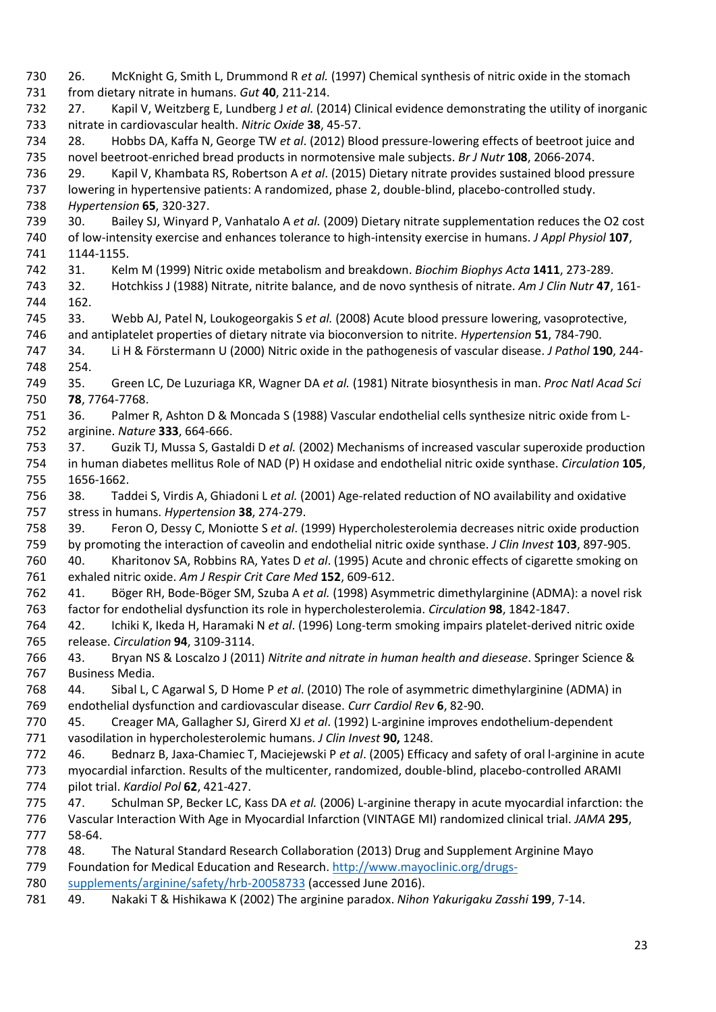26. McKnight G, Smith L, Drummond R *et al.* (1997) Chemical synthesis of nitric oxide in the stomach from dietary nitrate in humans. *Gut* **40**, 211-214. 27. Kapil V, Weitzberg E, Lundberg J *et al.* (2014) Clinical evidence demonstrating the utility of inorganic nitrate in cardiovascular health. *Nitric Oxide* **38**, 45-57. 28. Hobbs DA, Kaffa N, George TW *et al*. (2012) Blood pressure-lowering effects of beetroot juice and novel beetroot-enriched bread products in normotensive male subjects. *Br J Nutr* **108**, 2066-2074. 29. Kapil V, Khambata RS, Robertson A *et al*. (2015) Dietary nitrate provides sustained blood pressure lowering in hypertensive patients: A randomized, phase 2, double-blind, placebo-controlled study. *Hypertension* **65**, 320-327. 30. Bailey SJ, Winyard P, Vanhatalo A *et al.* (2009) Dietary nitrate supplementation reduces the O2 cost of low-intensity exercise and enhances tolerance to high-intensity exercise in humans. *J Appl Physiol* **107**, 1144-1155. 31. Kelm M (1999) Nitric oxide metabolism and breakdown. *Biochim Biophys Acta* **1411**, 273-289. 32. Hotchkiss J (1988) Nitrate, nitrite balance, and de novo synthesis of nitrate. *Am J Clin Nutr* **47**, 161- 162. 33. Webb AJ, Patel N, Loukogeorgakis S *et al.* (2008) Acute blood pressure lowering, vasoprotective, and antiplatelet properties of dietary nitrate via bioconversion to nitrite. *Hypertension* **51**, 784-790. 34. Li H & Förstermann U (2000) Nitric oxide in the pathogenesis of vascular disease. *J Pathol* **190**, 244- 254. 35. Green LC, De Luzuriaga KR, Wagner DA *et al.* (1981) Nitrate biosynthesis in man. *Proc Natl Acad Sci*  **78**, 7764-7768. 36. Palmer R, Ashton D & Moncada S (1988) Vascular endothelial cells synthesize nitric oxide from L- arginine. *Nature* **333**, 664-666. 37. Guzik TJ, Mussa S, Gastaldi D *et al.* (2002) Mechanisms of increased vascular superoxide production in human diabetes mellitus Role of NAD (P) H oxidase and endothelial nitric oxide synthase. *Circulation* **105**, 1656-1662. 38. Taddei S, Virdis A, Ghiadoni L *et al.* (2001) Age-related reduction of NO availability and oxidative stress in humans. *Hypertension* **38**, 274-279. 39. Feron O, Dessy C, Moniotte S *et al*. (1999) Hypercholesterolemia decreases nitric oxide production by promoting the interaction of caveolin and endothelial nitric oxide synthase. *J Clin Invest* **103**, 897-905. 40. Kharitonov SA, Robbins RA, Yates D *et al*. (1995) Acute and chronic effects of cigarette smoking on exhaled nitric oxide. *Am J Respir Crit Care Med* **152**, 609-612. 41. Böger RH, Bode-Böger SM, Szuba A *et al.* (1998) Asymmetric dimethylarginine (ADMA): a novel risk factor for endothelial dysfunction its role in hypercholesterolemia. *Circulation* **98**, 1842-1847. 42. Ichiki K, Ikeda H, Haramaki N *et al*. (1996) Long-term smoking impairs platelet-derived nitric oxide release. *Circulation* **94**, 3109-3114. 43. Bryan NS & Loscalzo J (2011) *Nitrite and nitrate in human health and diesease*. Springer Science & Business Media. 44. Sibal L, C Agarwal S, D Home P *et al*. (2010) The role of asymmetric dimethylarginine (ADMA) in endothelial dysfunction and cardiovascular disease. *Curr Cardiol Rev* **6**, 82-90. 45. Creager MA, Gallagher SJ, Girerd XJ *et al*. (1992) L-arginine improves endothelium-dependent vasodilation in hypercholesterolemic humans. *J Clin Invest* **90,** 1248. 46. Bednarz B, Jaxa-Chamiec T, Maciejewski P *et al*. (2005) Efficacy and safety of oral l-arginine in acute myocardial infarction. Results of the multicenter, randomized, double-blind, placebo-controlled ARAMI pilot trial. *Kardiol Pol* **62**, 421-427. 47. Schulman SP, Becker LC, Kass DA *et al.* (2006) L-arginine therapy in acute myocardial infarction: the Vascular Interaction With Age in Myocardial Infarction (VINTAGE MI) randomized clinical trial. *JAMA* **295**, 58-64. 48. The Natural Standard Research Collaboration (2013) Drug and Supplement Arginine Mayo Foundation for Medical Education and Research. [http://www.mayoclinic.org/drugs-](http://www.mayoclinic.org/drugs-supplements/arginine/safety/hrb-20058733) [supplements/arginine/safety/hrb-20058733](http://www.mayoclinic.org/drugs-supplements/arginine/safety/hrb-20058733) (accessed June 2016). 49. Nakaki T & Hishikawa K (2002) The arginine paradox. *Nihon Yakurigaku Zasshi* **199**, 7-14.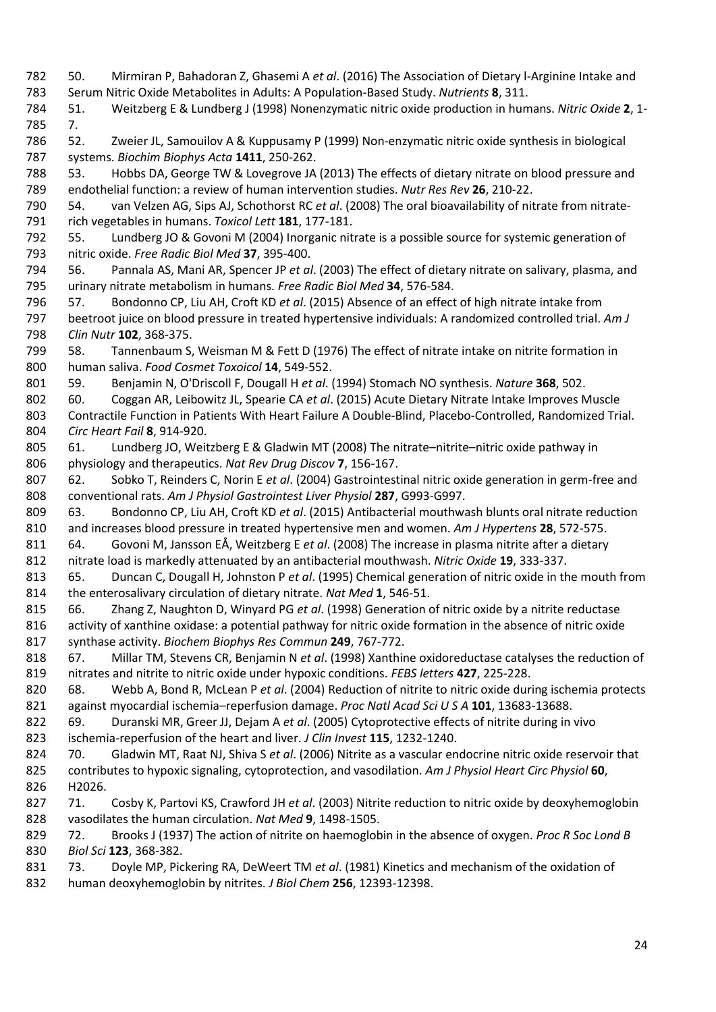50. Mirmiran P, Bahadoran Z, Ghasemi A *et al*. (2016) The Association of Dietary l-Arginine Intake and Serum Nitric Oxide Metabolites in Adults: A Population-Based Study. *Nutrients* **8**, 311. 51. Weitzberg E & Lundberg J (1998) Nonenzymatic nitric oxide production in humans. *Nitric Oxide* **2**, 1- 7. 52. Zweier JL, Samouilov A & Kuppusamy P (1999) Non-enzymatic nitric oxide synthesis in biological systems. *Biochim Biophys Acta* **1411**, 250-262. 53. Hobbs DA, George TW & Lovegrove JA (2013) The effects of dietary nitrate on blood pressure and endothelial function: a review of human intervention studies. *Nutr Res Rev* **26**, 210-22. 54. van Velzen AG, Sips AJ, Schothorst RC *et al*. (2008) The oral bioavailability of nitrate from nitrate- rich vegetables in humans. *Toxicol Lett* **181**, 177-181. 55. Lundberg JO & Govoni M (2004) Inorganic nitrate is a possible source for systemic generation of nitric oxide. *Free Radic Biol Med* **37**, 395-400. 56. Pannala AS, Mani AR, Spencer JP *et al*. (2003) The effect of dietary nitrate on salivary, plasma, and urinary nitrate metabolism in humans. *Free Radic Biol Med* **34**, 576-584. 57. Bondonno CP, Liu AH, Croft KD *et al*. (2015) Absence of an effect of high nitrate intake from beetroot juice on blood pressure in treated hypertensive individuals: A randomized controlled trial. *Am J Clin Nutr* **102**, 368-375. 58. Tannenbaum S, Weisman M & Fett D (1976) The effect of nitrate intake on nitrite formation in human saliva. *Food Cosmet Toxoicol* **14**, 549-552. 59. Benjamin N, O'Driscoll F, Dougall H *et al*. (1994) Stomach NO synthesis. *Nature* **368**, 502. 60. Coggan AR, Leibowitz JL, Spearie CA *et al*. (2015) Acute Dietary Nitrate Intake Improves Muscle Contractile Function in Patients With Heart Failure A Double-Blind, Placebo-Controlled, Randomized Trial. *Circ Heart Fail* **8**, 914-920. 805 61. Lundberg JO, Weitzberg E & Gladwin MT (2008) The nitrate-nitrite-nitric oxide pathway in physiology and therapeutics. *Nat Rev Drug Discov* **7**, 156-167. 62. Sobko T, Reinders C, Norin E *et al*. (2004) Gastrointestinal nitric oxide generation in germ-free and conventional rats. *Am J Physiol Gastrointest Liver Physiol* **287**, G993-G997. 63. Bondonno CP, Liu AH, Croft KD *et al*. (2015) Antibacterial mouthwash blunts oral nitrate reduction and increases blood pressure in treated hypertensive men and women. *Am J Hypertens* **28**, 572-575. 64. Govoni M, Jansson EÅ, Weitzberg E *et al*. (2008) The increase in plasma nitrite after a dietary nitrate load is markedly attenuated by an antibacterial mouthwash. *Nitric Oxide* **19**, 333-337. 65. Duncan C, Dougall H, Johnston P *et al*. (1995) Chemical generation of nitric oxide in the mouth from the enterosalivary circulation of dietary nitrate. *Nat Med* **1**, 546-51. 66. Zhang Z, Naughton D, Winyard PG *et al*. (1998) Generation of nitric oxide by a nitrite reductase 816 activity of xanthine oxidase: a potential pathway for nitric oxide formation in the absence of nitric oxide synthase activity. *Biochem Biophys Res Commun* **249**, 767-772. 67. Millar TM, Stevens CR, Benjamin N *et al*. (1998) Xanthine oxidoreductase catalyses the reduction of nitrates and nitrite to nitric oxide under hypoxic conditions. *FEBS letters* **427**, 225-228. 68. Webb A, Bond R, McLean P *et al*. (2004) Reduction of nitrite to nitric oxide during ischemia protects against myocardial ischemia–reperfusion damage. *Proc Natl Acad Sci U S A* **101**, 13683-13688. 69. Duranski MR, Greer JJ, Dejam A *et al*. (2005) Cytoprotective effects of nitrite during in vivo ischemia-reperfusion of the heart and liver. *J Clin Invest* **115**, 1232-1240. 70. Gladwin MT, Raat NJ, Shiva S *et al*. (2006) Nitrite as a vascular endocrine nitric oxide reservoir that contributes to hypoxic signaling, cytoprotection, and vasodilation. *Am J Physiol Heart Circ Physiol* **60**, H2026. 71. Cosby K, Partovi KS, Crawford JH *et al*. (2003) Nitrite reduction to nitric oxide by deoxyhemoglobin vasodilates the human circulation. *Nat Med* **9**, 1498-1505. 72. Brooks J (1937) The action of nitrite on haemoglobin in the absence of oxygen. *Proc R Soc Lond B Biol Sci* **123**, 368-382. 73. Doyle MP, Pickering RA, DeWeert TM *et al*. (1981) Kinetics and mechanism of the oxidation of human deoxyhemoglobin by nitrites. *J Biol Chem* **256**, 12393-12398.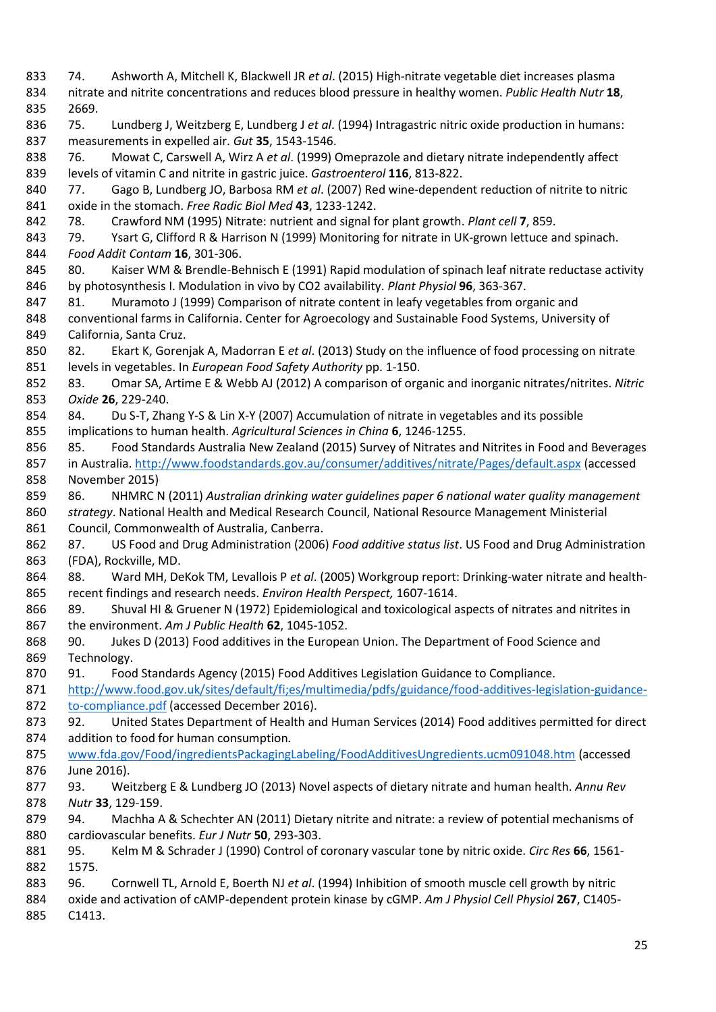74. Ashworth A, Mitchell K, Blackwell JR *et al*. (2015) High-nitrate vegetable diet increases plasma nitrate and nitrite concentrations and reduces blood pressure in healthy women. *Public Health Nutr* **18**, 2669. 75. Lundberg J, Weitzberg E, Lundberg J *et al*. (1994) Intragastric nitric oxide production in humans: measurements in expelled air. *Gut* **35**, 1543-1546. 76. Mowat C, Carswell A, Wirz A *et al*. (1999) Omeprazole and dietary nitrate independently affect levels of vitamin C and nitrite in gastric juice. *Gastroenterol* **116**, 813-822. 77. Gago B, Lundberg JO, Barbosa RM *et al*. (2007) Red wine-dependent reduction of nitrite to nitric oxide in the stomach. *Free Radic Biol Med* **43**, 1233-1242. 78. Crawford NM (1995) Nitrate: nutrient and signal for plant growth. *Plant cell* **7**, 859. 843 79. Ysart G, Clifford R & Harrison N (1999) Monitoring for nitrate in UK-grown lettuce and spinach. *Food Addit Contam* **16**, 301-306. 845 80. Kaiser WM & Brendle-Behnisch E (1991) Rapid modulation of spinach leaf nitrate reductase activity by photosynthesis I. Modulation in vivo by CO2 availability. *Plant Physiol* **96**, 363-367. 847 81. Muramoto J (1999) Comparison of nitrate content in leafy vegetables from organic and conventional farms in California. Center for Agroecology and Sustainable Food Systems, University of California, Santa Cruz. 82. Ekart K, Gorenjak A, Madorran E *et al*. (2013) Study on the influence of food processing on nitrate levels in vegetables. In *European Food Safety Authority* pp. 1-150. 83. Omar SA, Artime E & Webb AJ (2012) A comparison of organic and inorganic nitrates/nitrites. *Nitric Oxide* **26**, 229-240. 84. Du S-T, Zhang Y-S & Lin X-Y (2007) Accumulation of nitrate in vegetables and its possible implications to human health. *Agricultural Sciences in China* **6**, 1246-1255. 85. Food Standards Australia New Zealand (2015) Survey of Nitrates and Nitrites in Food and Beverages 857 in Australia.<http://www.foodstandards.gov.au/consumer/additives/nitrate/Pages/default.aspx> (accessed November 2015) 86. NHMRC N (2011) *Australian drinking water guidelines paper 6 national water quality management strategy*. National Health and Medical Research Council, National Resource Management Ministerial Council, Commonwealth of Australia, Canberra. 87. US Food and Drug Administration (2006) *Food additive status list*. US Food and Drug Administration (FDA), Rockville, MD. 88. Ward MH, DeKok TM, Levallois P *et al*. (2005) Workgroup report: Drinking-water nitrate and health- recent findings and research needs. *Environ Health Perspect,* 1607-1614. 89. Shuval HI & Gruener N (1972) Epidemiological and toxicological aspects of nitrates and nitrites in the environment. *Am J Public Health* **62**, 1045-1052. 90. Jukes D (2013) Food additives in the European Union. The Department of Food Science and Technology. 91. Food Standards Agency (2015) Food Additives Legislation Guidance to Compliance. [http://www.food.gov.uk/sites/default/fi;es/multimedia/pdfs/guidance/food-additives-legislation-guidance](http://www.food.gov.uk/sites/default/fi;es/multimedia/pdfs/guidance/food-additives-legislation-guidance-to-compliance.pdf)[to-compliance.pdf](http://www.food.gov.uk/sites/default/fi;es/multimedia/pdfs/guidance/food-additives-legislation-guidance-to-compliance.pdf) (accessed December 2016). 92. United States Department of Health and Human Services (2014) Food additives permitted for direct addition to food for human consumption*.*  [www.fda.gov/Food/ingredientsPackagingLabeling/FoodAdditivesUngredients.ucm091048.htm](http://www.fda.gov/Food/ingredientsPackagingLabeling/FoodAdditivesUngredients.ucm091048.htm) (accessed June 2016). 93. Weitzberg E & Lundberg JO (2013) Novel aspects of dietary nitrate and human health. *Annu Rev Nutr* **33**, 129-159. 94. Machha A & Schechter AN (2011) Dietary nitrite and nitrate: a review of potential mechanisms of cardiovascular benefits. *Eur J Nutr* **50**, 293-303. 95. Kelm M & Schrader J (1990) Control of coronary vascular tone by nitric oxide. *Circ Res* **66**, 1561- 1575. 96. Cornwell TL, Arnold E, Boerth NJ *et al*. (1994) Inhibition of smooth muscle cell growth by nitric oxide and activation of cAMP-dependent protein kinase by cGMP. *Am J Physiol Cell Physiol* **267**, C1405- C1413.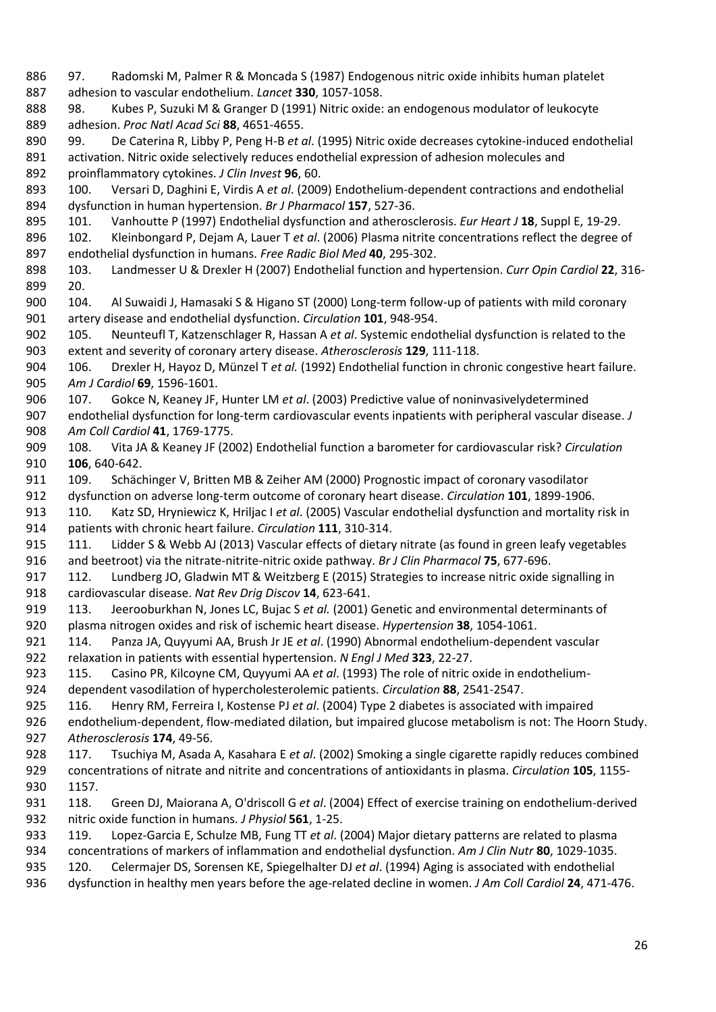97. Radomski M, Palmer R & Moncada S (1987) Endogenous nitric oxide inhibits human platelet adhesion to vascular endothelium. *Lancet* **330**, 1057-1058. 98. Kubes P, Suzuki M & Granger D (1991) Nitric oxide: an endogenous modulator of leukocyte adhesion. *Proc Natl Acad Sci* **88**, 4651-4655. 99. De Caterina R, Libby P, Peng H-B *et al*. (1995) Nitric oxide decreases cytokine-induced endothelial activation. Nitric oxide selectively reduces endothelial expression of adhesion molecules and proinflammatory cytokines. *J Clin Invest* **96**, 60. 100. Versari D, Daghini E, Virdis A *et al*. (2009) Endothelium‐dependent contractions and endothelial dysfunction in human hypertension. *Br J Pharmacol* **157**, 527-36. 101. Vanhoutte P (1997) Endothelial dysfunction and atherosclerosis. *Eur Heart J* **18**, Suppl E, 19-29. 102. Kleinbongard P, Dejam A, Lauer T *et al*. (2006) Plasma nitrite concentrations reflect the degree of endothelial dysfunction in humans. *Free Radic Biol Med* **40**, 295-302. 103. Landmesser U & Drexler H (2007) Endothelial function and hypertension. *Curr Opin Cardiol* **22**, 316- 20. 104. Al Suwaidi J, Hamasaki S & Higano ST (2000) Long-term follow-up of patients with mild coronary artery disease and endothelial dysfunction. *Circulation* **101**, 948-954. 105. Neunteufl T, Katzenschlager R, Hassan A *et al*. Systemic endothelial dysfunction is related to the extent and severity of coronary artery disease. *Atherosclerosis* **129**, 111-118. 106. Drexler H, Hayoz D, Münzel T *et al.* (1992) Endothelial function in chronic congestive heart failure. *Am J Cardiol* **69**, 1596-1601. 107. Gokce N, Keaney JF, Hunter LM *et al*. (2003) Predictive value of noninvasivelydetermined endothelial dysfunction for long-term cardiovascular events inpatients with peripheral vascular disease. *J Am Coll Cardiol* **41**, 1769-1775. 108. Vita JA & Keaney JF (2002) Endothelial function a barometer for cardiovascular risk? *Circulation* **106**, 640-642. 911 109. Schächinger V, Britten MB & Zeiher AM (2000) Prognostic impact of coronary vasodilator dysfunction on adverse long-term outcome of coronary heart disease. *Circulation* **101**, 1899-1906. 110. Katz SD, Hryniewicz K, Hriljac I *et al*. (2005) Vascular endothelial dysfunction and mortality risk in patients with chronic heart failure. *Circulation* **111**, 310-314. 915 111. Lidder S & Webb AJ (2013) Vascular effects of dietary nitrate (as found in green leafy vegetables and beetroot) via the nitrate‐nitrite‐nitric oxide pathway. *Br J Clin Pharmacol* **75**, 677-696. 917 112. Lundberg JO, Gladwin MT & Weitzberg E (2015) Strategies to increase nitric oxide signalling in cardiovascular disease. *Nat Rev Drig Discov* **14**, 623-641. 113. Jeerooburkhan N, Jones LC, Bujac S *et al.* (2001) Genetic and environmental determinants of plasma nitrogen oxides and risk of ischemic heart disease. *Hypertension* **38**, 1054-1061. 114. Panza JA, Quyyumi AA, Brush Jr JE *et al*. (1990) Abnormal endothelium-dependent vascular relaxation in patients with essential hypertension. *N Engl J Med* **323**, 22-27. 115. Casino PR, Kilcoyne CM, Quyyumi AA *et al*. (1993) The role of nitric oxide in endothelium- dependent vasodilation of hypercholesterolemic patients. *Circulation* **88**, 2541-2547. 116. Henry RM, Ferreira I, Kostense PJ *et al*. (2004) Type 2 diabetes is associated with impaired endothelium-dependent, flow-mediated dilation, but impaired glucose metabolism is not: The Hoorn Study. *Atherosclerosis* **174**, 49-56. 117. Tsuchiya M, Asada A, Kasahara E *et al*. (2002) Smoking a single cigarette rapidly reduces combined concentrations of nitrate and nitrite and concentrations of antioxidants in plasma. *Circulation* **105**, 1155- 1157. 118. Green DJ, Maiorana A, O'driscoll G *et al*. (2004) Effect of exercise training on endothelium‐derived nitric oxide function in humans. *J Physiol* **561**, 1-25. 119. Lopez-Garcia E, Schulze MB, Fung TT *et al*. (2004) Major dietary patterns are related to plasma concentrations of markers of inflammation and endothelial dysfunction. *Am J Clin Nutr* **80**, 1029-1035. 120. Celermajer DS, Sorensen KE, Spiegelhalter DJ *et al*. (1994) Aging is associated with endothelial dysfunction in healthy men years before the age-related decline in women. *J Am Coll Cardiol* **24**, 471-476.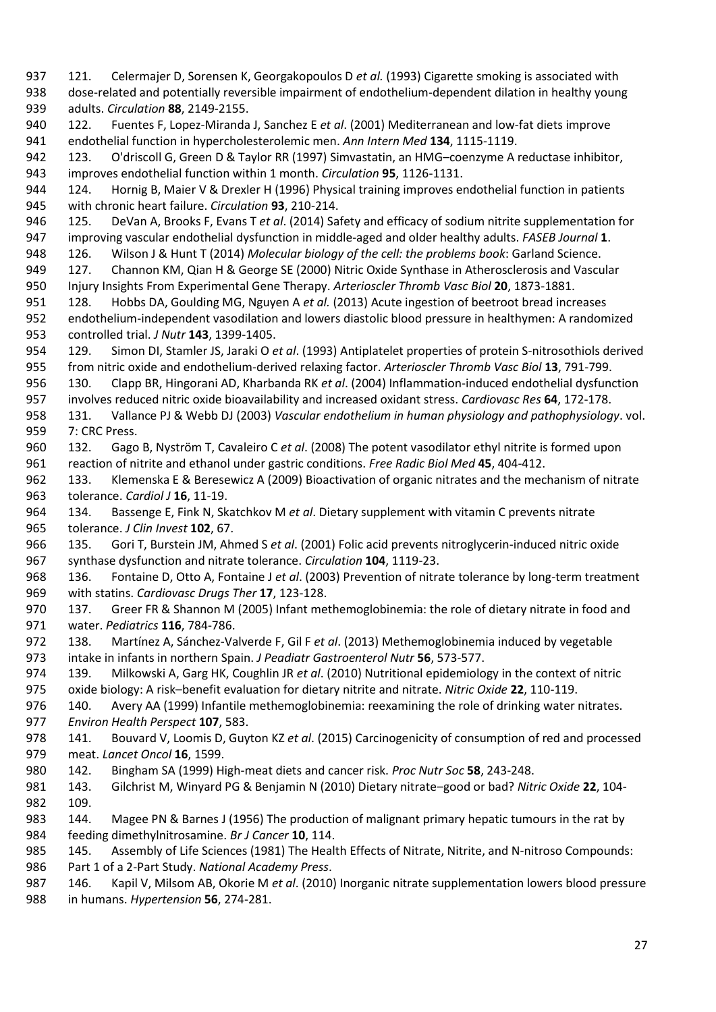121. Celermajer D, Sorensen K, Georgakopoulos D *et al.* (1993) Cigarette smoking is associated with dose-related and potentially reversible impairment of endothelium-dependent dilation in healthy young adults. *Circulation* **88**, 2149-2155. 122. Fuentes F, Lopez-Miranda J, Sanchez E *et al*. (2001) Mediterranean and low-fat diets improve endothelial function in hypercholesterolemic men. *Ann Intern Med* **134**, 1115-1119. 123. O'driscoll G, Green D & Taylor RR (1997) Simvastatin, an HMG–coenzyme A reductase inhibitor, improves endothelial function within 1 month. *Circulation* **95**, 1126-1131. 944 124. Hornig B, Maier V & Drexler H (1996) Physical training improves endothelial function in patients with chronic heart failure. *Circulation* **93**, 210-214. 125. DeVan A, Brooks F, Evans T *et al*. (2014) Safety and efficacy of sodium nitrite supplementation for improving vascular endothelial dysfunction in middle-aged and older healthy adults. *FASEB Journal* **1**. 126. Wilson J & Hunt T (2014) *Molecular biology of the cell: the problems book*: Garland Science. 127. Channon KM, Qian H & George SE (2000) Nitric Oxide Synthase in Atherosclerosis and Vascular Injury Insights From Experimental Gene Therapy. *Arterioscler Thromb Vasc Biol* **20**, 1873-1881. 128. Hobbs DA, Goulding MG, Nguyen A *et al.* (2013) Acute ingestion of beetroot bread increases endothelium-independent vasodilation and lowers diastolic blood pressure in healthymen: A randomized controlled trial. *J Nutr* **143**, 1399-1405. 129. Simon DI, Stamler JS, Jaraki O *et al*. (1993) Antiplatelet properties of protein S-nitrosothiols derived from nitric oxide and endothelium-derived relaxing factor. *Arterioscler Thromb Vasc Biol* **13**, 791-799. 130. Clapp BR, Hingorani AD, Kharbanda RK *et al*. (2004) Inflammation-induced endothelial dysfunction involves reduced nitric oxide bioavailability and increased oxidant stress. *Cardiovasc Res* **64**, 172-178. 131. Vallance PJ & Webb DJ (2003) *Vascular endothelium in human physiology and pathophysiology*. vol. 7: CRC Press. 132. Gago B, Nyström T, Cavaleiro C *et al*. (2008) The potent vasodilator ethyl nitrite is formed upon reaction of nitrite and ethanol under gastric conditions. *Free Radic Biol Med* **45**, 404-412. 133. Klemenska E & Beresewicz A (2009) Bioactivation of organic nitrates and the mechanism of nitrate tolerance. *Cardiol J* **16**, 11-19. 134. Bassenge E, Fink N, Skatchkov M *et al*. Dietary supplement with vitamin C prevents nitrate tolerance. *J Clin Invest* **102**, 67. 135. Gori T, Burstein JM, Ahmed S *et al*. (2001) Folic acid prevents nitroglycerin-induced nitric oxide synthase dysfunction and nitrate tolerance. *Circulation* **104**, 1119-23. 136. Fontaine D, Otto A, Fontaine J *et al*. (2003) Prevention of nitrate tolerance by long-term treatment with statins. *Cardiovasc Drugs Ther* **17**, 123-128. 137. Greer FR & Shannon M (2005) Infant methemoglobinemia: the role of dietary nitrate in food and water. *Pediatrics* **116**, 784-786. 138. Martínez A, Sánchez-Valverde F, Gil F *et al*. (2013) Methemoglobinemia induced by vegetable intake in infants in northern Spain. *J Peadiatr Gastroenterol Nutr* **56**, 573-577. 139. Milkowski A, Garg HK, Coughlin JR *et al*. (2010) Nutritional epidemiology in the context of nitric oxide biology: A risk–benefit evaluation for dietary nitrite and nitrate. *Nitric Oxide* **22**, 110-119. 140. Avery AA (1999) Infantile methemoglobinemia: reexamining the role of drinking water nitrates. *Environ Health Perspect* **107**, 583. 141. Bouvard V, Loomis D, Guyton KZ *et al*. (2015) Carcinogenicity of consumption of red and processed meat. *Lancet Oncol* **16**, 1599. 142. Bingham SA (1999) High-meat diets and cancer risk. *Proc Nutr Soc* **58**, 243-248. 143. Gilchrist M, Winyard PG & Benjamin N (2010) Dietary nitrate–good or bad? *Nitric Oxide* **22**, 104- 109. 144. Magee PN & Barnes J (1956) The production of malignant primary hepatic tumours in the rat by feeding dimethylnitrosamine. *Br J Cancer* **10**, 114. 985 145. Assembly of Life Sciences (1981) The Health Effects of Nitrate, Nitrite, and N-nitroso Compounds: Part 1 of a 2-Part Study. *National Academy Press*. 146. Kapil V, Milsom AB, Okorie M *et al*. (2010) Inorganic nitrate supplementation lowers blood pressure in humans. *Hypertension* **56**, 274-281.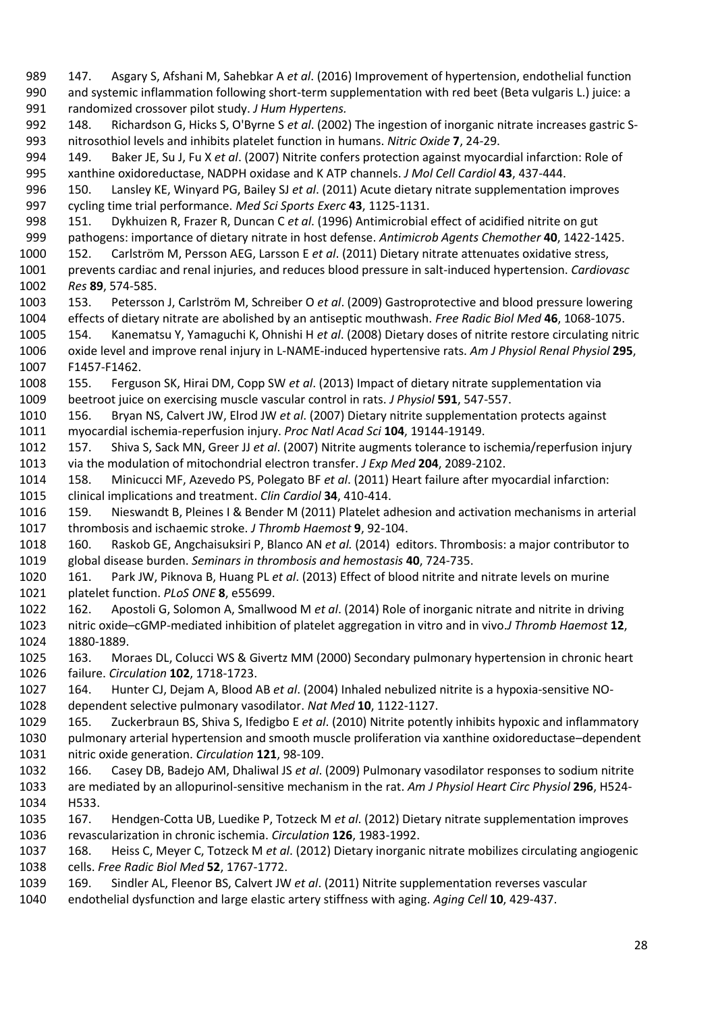147. Asgary S, Afshani M, Sahebkar A *et al*. (2016) Improvement of hypertension, endothelial function and systemic inflammation following short-term supplementation with red beet (Beta vulgaris L.) juice: a randomized crossover pilot study. *J Hum Hypertens.* 148. Richardson G, Hicks S, O'Byrne S *et al*. (2002) The ingestion of inorganic nitrate increases gastric S- nitrosothiol levels and inhibits platelet function in humans. *Nitric Oxide* **7**, 24-29. 149. Baker JE, Su J, Fu X *et al*. (2007) Nitrite confers protection against myocardial infarction: Role of xanthine oxidoreductase, NADPH oxidase and K ATP channels. *J Mol Cell Cardiol* **43**, 437-444. 150. Lansley KE, Winyard PG, Bailey SJ *et al*. (2011) Acute dietary nitrate supplementation improves cycling time trial performance. *Med Sci Sports Exerc* **43**, 1125-1131. 151. Dykhuizen R, Frazer R, Duncan C *et al*. (1996) Antimicrobial effect of acidified nitrite on gut pathogens: importance of dietary nitrate in host defense. *Antimicrob Agents Chemother* **40**, 1422-1425. 152. Carlström M, Persson AEG, Larsson E *et al*. (2011) Dietary nitrate attenuates oxidative stress, prevents cardiac and renal injuries, and reduces blood pressure in salt-induced hypertension. *Cardiovasc Res* **89**, 574-585. 153. Petersson J, Carlström M, Schreiber O *et al*. (2009) Gastroprotective and blood pressure lowering effects of dietary nitrate are abolished by an antiseptic mouthwash. *Free Radic Biol Med* **46**, 1068-1075. 154. Kanematsu Y, Yamaguchi K, Ohnishi H *et al*. (2008) Dietary doses of nitrite restore circulating nitric oxide level and improve renal injury in L-NAME-induced hypertensive rats. *Am J Physiol Renal Physiol* **295**, F1457-F1462. 155. Ferguson SK, Hirai DM, Copp SW *et al*. (2013) Impact of dietary nitrate supplementation via beetroot juice on exercising muscle vascular control in rats. *J Physiol* **591**, 547-557. 156. Bryan NS, Calvert JW, Elrod JW *et al*. (2007) Dietary nitrite supplementation protects against myocardial ischemia-reperfusion injury. *Proc Natl Acad Sci* **104**, 19144-19149. 157. Shiva S, Sack MN, Greer JJ *et al*. (2007) Nitrite augments tolerance to ischemia/reperfusion injury via the modulation of mitochondrial electron transfer. *J Exp Med* **204**, 2089-2102. 158. Minicucci MF, Azevedo PS, Polegato BF *et al*. (2011) Heart failure after myocardial infarction: clinical implications and treatment. *Clin Cardiol* **34**, 410-414. 159. Nieswandt B, Pleines I & Bender M (2011) Platelet adhesion and activation mechanisms in arterial thrombosis and ischaemic stroke. *J Thromb Haemost* **9**, 92-104. 160. Raskob GE, Angchaisuksiri P, Blanco AN *et al.* (2014) editors. Thrombosis: a major contributor to global disease burden. *Seminars in thrombosis and hemostasis* **40**, 724-735. 161. Park JW, Piknova B, Huang PL *et al*. (2013) Effect of blood nitrite and nitrate levels on murine platelet function. *PLoS ONE* **8**, e55699. 162. Apostoli G, Solomon A, Smallwood M *et al*. (2014) Role of inorganic nitrate and nitrite in driving nitric oxide–cGMP‐mediated inhibition of platelet aggregation in vitro and in vivo.*J Thromb Haemost* **12**, 1880-1889. 163. Moraes DL, Colucci WS & Givertz MM (2000) Secondary pulmonary hypertension in chronic heart failure. *Circulation* **102**, 1718-1723. 164. Hunter CJ, Dejam A, Blood AB *et al*. (2004) Inhaled nebulized nitrite is a hypoxia-sensitive NO- dependent selective pulmonary vasodilator. *Nat Med* **10**, 1122-1127. 165. Zuckerbraun BS, Shiva S, Ifedigbo E *et al*. (2010) Nitrite potently inhibits hypoxic and inflammatory pulmonary arterial hypertension and smooth muscle proliferation via xanthine oxidoreductase–dependent nitric oxide generation. *Circulation* **121**, 98-109. 166. Casey DB, Badejo AM, Dhaliwal JS *et al*. (2009) Pulmonary vasodilator responses to sodium nitrite are mediated by an allopurinol-sensitive mechanism in the rat. *Am J Physiol Heart Circ Physiol* **296**, H524- H533. 167. Hendgen-Cotta UB, Luedike P, Totzeck M *et al*. (2012) Dietary nitrate supplementation improves revascularization in chronic ischemia. *Circulation* **126**, 1983-1992. 168. Heiss C, Meyer C, Totzeck M *et al*. (2012) Dietary inorganic nitrate mobilizes circulating angiogenic cells. *Free Radic Biol Med* **52**, 1767-1772. 169. Sindler AL, Fleenor BS, Calvert JW *et al*. (2011) Nitrite supplementation reverses vascular endothelial dysfunction and large elastic artery stiffness with aging. *Aging Cell* **10**, 429-437.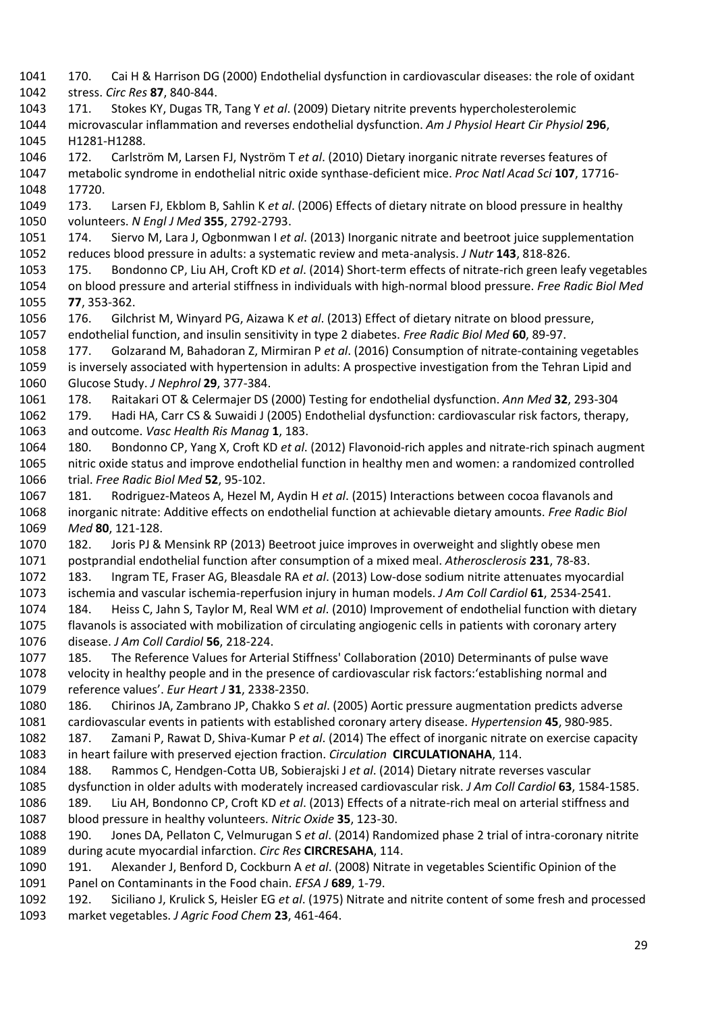170. Cai H & Harrison DG (2000) Endothelial dysfunction in cardiovascular diseases: the role of oxidant stress. *Circ Res* **87**, 840-844. 171. Stokes KY, Dugas TR, Tang Y *et al*. (2009) Dietary nitrite prevents hypercholesterolemic microvascular inflammation and reverses endothelial dysfunction. *Am J Physiol Heart Cir Physiol* **296**, H1281-H1288. 172. Carlström M, Larsen FJ, Nyström T *et al*. (2010) Dietary inorganic nitrate reverses features of metabolic syndrome in endothelial nitric oxide synthase-deficient mice. *Proc Natl Acad Sci* **107**, 17716- 17720. 173. Larsen FJ, Ekblom B, Sahlin K *et al*. (2006) Effects of dietary nitrate on blood pressure in healthy volunteers. *N Engl J Med* **355**, 2792-2793. 174. Siervo M, Lara J, Ogbonmwan I *et al*. (2013) Inorganic nitrate and beetroot juice supplementation reduces blood pressure in adults: a systematic review and meta-analysis. *J Nutr* **143**, 818-826. 175. Bondonno CP, Liu AH, Croft KD *et al*. (2014) Short-term effects of nitrate-rich green leafy vegetables on blood pressure and arterial stiffness in individuals with high-normal blood pressure. *Free Radic Biol Med*  **77**, 353-362. 176. Gilchrist M, Winyard PG, Aizawa K *et al*. (2013) Effect of dietary nitrate on blood pressure, endothelial function, and insulin sensitivity in type 2 diabetes. *Free Radic Biol Med* **60**, 89-97. 177. Golzarand M, Bahadoran Z, Mirmiran P *et al*. (2016) Consumption of nitrate-containing vegetables is inversely associated with hypertension in adults: A prospective investigation from the Tehran Lipid and Glucose Study. *J Nephrol* **29**, 377-384. 178. Raitakari OT & Celermajer DS (2000) Testing for endothelial dysfunction. *Ann Med* **32**, 293-304 179. Hadi HA, Carr CS & Suwaidi J (2005) Endothelial dysfunction: cardiovascular risk factors, therapy, and outcome. *Vasc Health Ris Manag* **1**, 183. 180. Bondonno CP, Yang X, Croft KD *et al*. (2012) Flavonoid-rich apples and nitrate-rich spinach augment nitric oxide status and improve endothelial function in healthy men and women: a randomized controlled trial. *Free Radic Biol Med* **52**, 95-102. 181. Rodriguez-Mateos A, Hezel M, Aydin H *et al*. (2015) Interactions between cocoa flavanols and inorganic nitrate: Additive effects on endothelial function at achievable dietary amounts. *Free Radic Biol Med* **80**, 121-128. 182. Joris PJ & Mensink RP (2013) Beetroot juice improves in overweight and slightly obese men postprandial endothelial function after consumption of a mixed meal. *Atherosclerosis* **231**, 78-83. 183. Ingram TE, Fraser AG, Bleasdale RA *et al*. (2013) Low-dose sodium nitrite attenuates myocardial ischemia and vascular ischemia-reperfusion injury in human models. *J Am Coll Cardiol* **61**, 2534-2541. 184. Heiss C, Jahn S, Taylor M, Real WM *et al*. (2010) Improvement of endothelial function with dietary flavanols is associated with mobilization of circulating angiogenic cells in patients with coronary artery disease. *J Am Coll Cardiol* **56**, 218-224. 185. The Reference Values for Arterial Stiffness' Collaboration (2010) Determinants of pulse wave velocity in healthy people and in the presence of cardiovascular risk factors:'establishing normal and reference values'. *Eur Heart J* **31**, 2338-2350. 186. Chirinos JA, Zambrano JP, Chakko S *et al*. (2005) Aortic pressure augmentation predicts adverse cardiovascular events in patients with established coronary artery disease. *Hypertension* **45**, 980-985. 187. Zamani P, Rawat D, Shiva-Kumar P *et al*. (2014) The effect of inorganic nitrate on exercise capacity in heart failure with preserved ejection fraction. *Circulation* **CIRCULATIONAHA**, 114. 188. Rammos C, Hendgen-Cotta UB, Sobierajski J *et al*. (2014) Dietary nitrate reverses vascular dysfunction in older adults with moderately increased cardiovascular risk. *J Am Coll Cardiol* **63**, 1584-1585. 189. Liu AH, Bondonno CP, Croft KD *et al*. (2013) Effects of a nitrate-rich meal on arterial stiffness and blood pressure in healthy volunteers. *Nitric Oxide* **35**, 123-30. 190. Jones DA, Pellaton C, Velmurugan S *et al*. (2014) Randomized phase 2 trial of intra-coronary nitrite during acute myocardial infarction. *Circ Res* **CIRCRESAHA**, 114. 191. Alexander J, Benford D, Cockburn A *et al*. (2008) Nitrate in vegetables Scientific Opinion of the Panel on Contaminants in the Food chain. *EFSA J* **689**, 1-79. 192. Siciliano J, Krulick S, Heisler EG *et al*. (1975) Nitrate and nitrite content of some fresh and processed market vegetables. *J Agric Food Chem* **23**, 461-464.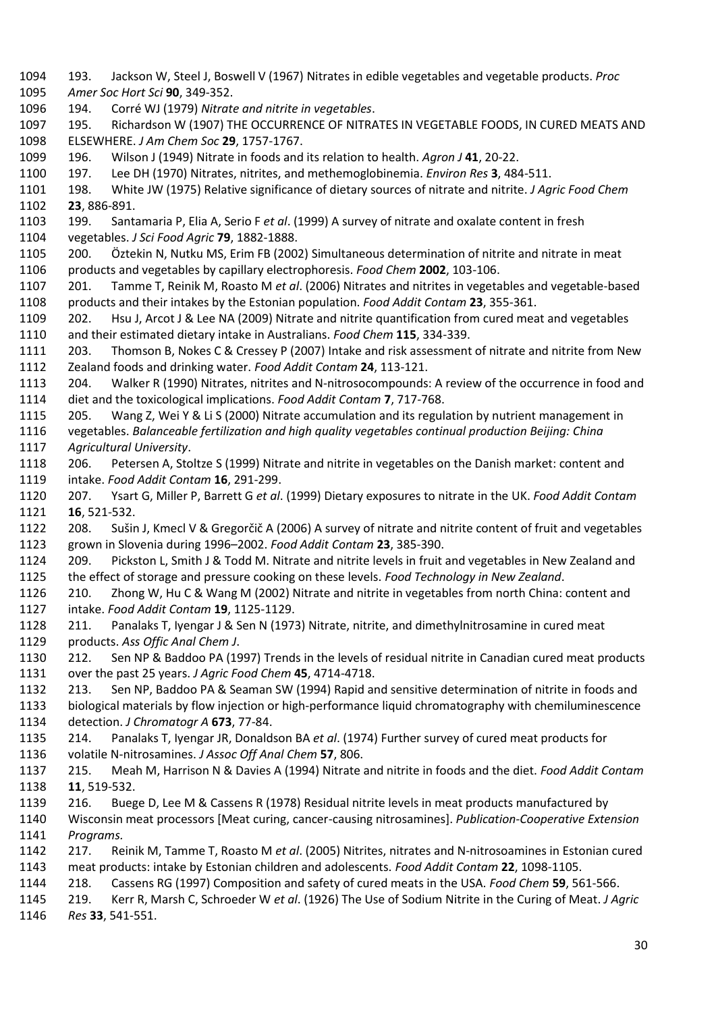193. Jackson W, Steel J, Boswell V (1967) Nitrates in edible vegetables and vegetable products. *Proc Amer Soc Hort Sci* **90**, 349-352. 194. Corré WJ (1979) *Nitrate and nitrite in vegetables*. 195. Richardson W (1907) THE OCCURRENCE OF NITRATES IN VEGETABLE FOODS, IN CURED MEATS AND ELSEWHERE. *J Am Chem Soc* **29**, 1757-1767. 196. Wilson J (1949) Nitrate in foods and its relation to health. *Agron J* **41**, 20-22. 197. Lee DH (1970) Nitrates, nitrites, and methemoglobinemia. *Environ Res* **3**, 484-511. 198. White JW (1975) Relative significance of dietary sources of nitrate and nitrite. *J Agric Food Chem*  **23**, 886-891. 199. Santamaria P, Elia A, Serio F *et al*. (1999) A survey of nitrate and oxalate content in fresh vegetables. *J Sci Food Agric* **79**, 1882-1888. 200. Öztekin N, Nutku MS, Erim FB (2002) Simultaneous determination of nitrite and nitrate in meat products and vegetables by capillary electrophoresis. *Food Chem* **2002**, 103-106. 201. Tamme T, Reinik M, Roasto M *et al*. (2006) Nitrates and nitrites in vegetables and vegetable-based products and their intakes by the Estonian population. *Food Addit Contam* **23**, 355-361. 202. Hsu J, Arcot J & Lee NA (2009) Nitrate and nitrite quantification from cured meat and vegetables and their estimated dietary intake in Australians. *Food Chem* **115**, 334-339. 203. Thomson B, Nokes C & Cressey P (2007) Intake and risk assessment of nitrate and nitrite from New Zealand foods and drinking water. *Food Addit Contam* **24**, 113-121. 204. Walker R (1990) Nitrates, nitrites and N‐nitrosocompounds: A review of the occurrence in food and diet and the toxicological implications. *Food Addit Contam* **7**, 717-768. 205. Wang Z, Wei Y & Li S (2000) Nitrate accumulation and its regulation by nutrient management in vegetables. *Balanceable fertilization and high quality vegetables continual production Beijing: China Agricultural University*. 206. Petersen A, Stoltze S (1999) Nitrate and nitrite in vegetables on the Danish market: content and intake. *Food Addit Contam* **16**, 291-299. 207. Ysart G, Miller P, Barrett G *et al*. (1999) Dietary exposures to nitrate in the UK. *Food Addit Contam*  **16**, 521-532. 208. Sušin J, Kmecl V & Gregorčič A (2006) A survey of nitrate and nitrite content of fruit and vegetables grown in Slovenia during 1996–2002. *Food Addit Contam* **23**, 385-390. 209. Pickston L, Smith J & Todd M. Nitrate and nitrite levels in fruit and vegetables in New Zealand and the effect of storage and pressure cooking on these levels. *Food Technology in New Zealand*. 210. Zhong W, Hu C & Wang M (2002) Nitrate and nitrite in vegetables from north China: content and intake. *Food Addit Contam* **19**, 1125-1129. 211. Panalaks T, Iyengar J & Sen N (1973) Nitrate, nitrite, and dimethylnitrosamine in cured meat products. *Ass Offic Anal Chem J*. 212. Sen NP & Baddoo PA (1997) Trends in the levels of residual nitrite in Canadian cured meat products over the past 25 years. *J Agric Food Chem* **45**, 4714-4718. 213. Sen NP, Baddoo PA & Seaman SW (1994) Rapid and sensitive determination of nitrite in foods and biological materials by flow injection or high-performance liquid chromatography with chemiluminescence detection. *J Chromatogr A* **673**, 77-84. 214. Panalaks T, Iyengar JR, Donaldson BA *et al*. (1974) Further survey of cured meat products for volatile N-nitrosamines. *J Assoc Off Anal Chem* **57**, 806. 215. Meah M, Harrison N & Davies A (1994) Nitrate and nitrite in foods and the diet. *Food Addit Contam*  **11**, 519-532. 216. Buege D, Lee M & Cassens R (1978) Residual nitrite levels in meat products manufactured by Wisconsin meat processors [Meat curing, cancer-causing nitrosamines]. *Publication-Cooperative Extension Programs.* 217. Reinik M, Tamme T, Roasto M *et al*. (2005) Nitrites, nitrates and N-nitrosoamines in Estonian cured meat products: intake by Estonian children and adolescents. *Food Addit Contam* **22**, 1098-1105. 218. Cassens RG (1997) Composition and safety of cured meats in the USA. *Food Chem* **59**, 561-566. 219. Kerr R, Marsh C, Schroeder W *et al*. (1926) The Use of Sodium Nitrite in the Curing of Meat. *J Agric Res* **33**, 541-551.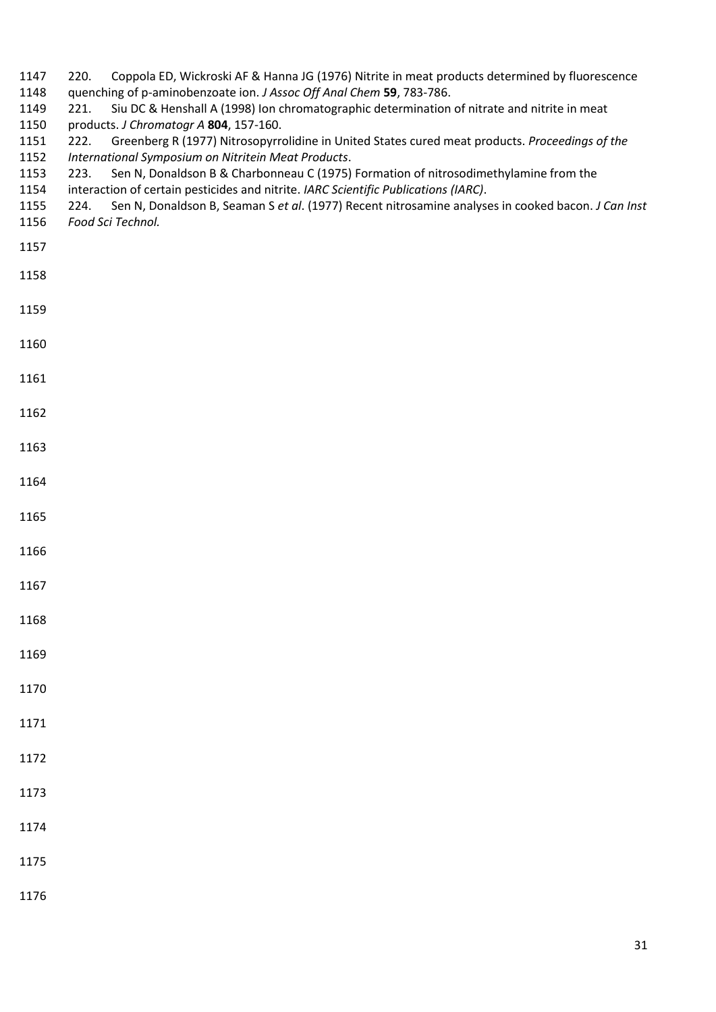- 220. Coppola ED, Wickroski AF & Hanna JG (1976) Nitrite in meat products determined by fluorescence
- quenching of p-aminobenzoate ion. *J Assoc Off Anal Chem* **59**, 783-786.
- 221. Siu DC & Henshall A (1998) Ion chromatographic determination of nitrate and nitrite in meat products. *J Chromatogr A* **804**, 157-160.
- 222. Greenberg R (1977) Nitrosopyrrolidine in United States cured meat products. *Proceedings of the*
- *International Symposium on Nitritein Meat Products*.
- 223. Sen N, Donaldson B & Charbonneau C (1975) Formation of nitrosodimethylamine from the
- interaction of certain pesticides and nitrite. *IARC Scientific Publications (IARC)*.
- 224. Sen N, Donaldson B, Seaman S *et al*. (1977) Recent nitrosamine analyses in cooked bacon. *J Can Inst*
- *Food Sci Technol.*
- 
- 
- 
- 
- 
- 
- 
- 
- 
- 
- 
- 
- 
- 
- 
- 
- 
- 
- 
- 
- 
- 
- 
-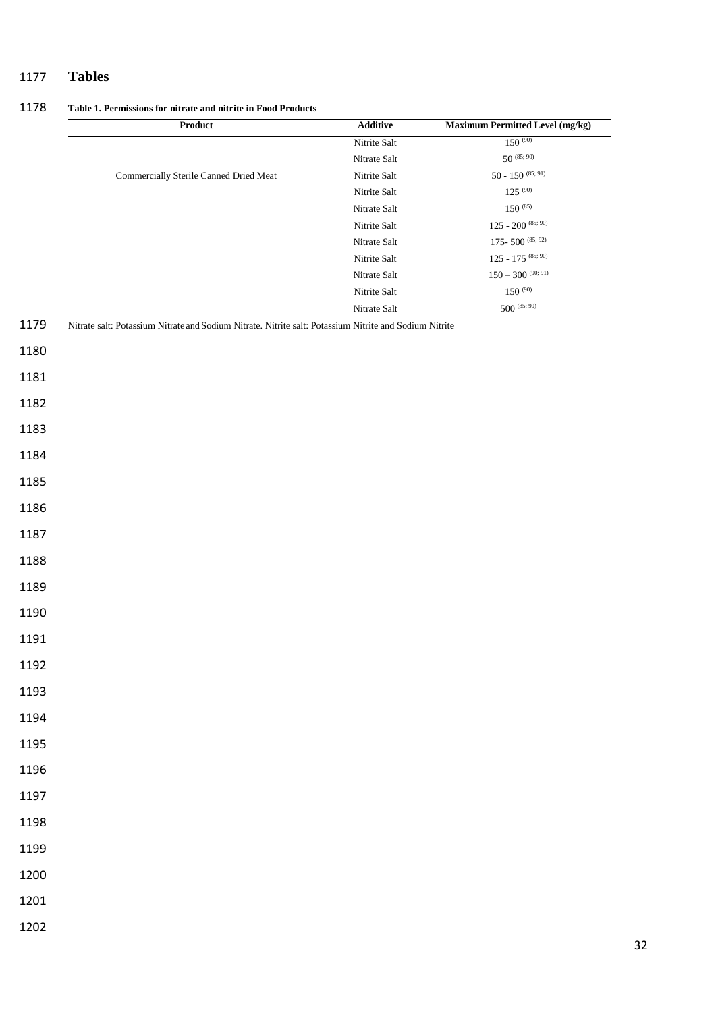## **Tables**

**Table 1. Permissions for nitrate and nitrite in Food Products**

|      | Product                                                                                                | $\bf Additive$               | Maximum Permitted Level (mg/kg)                                 |
|------|--------------------------------------------------------------------------------------------------------|------------------------------|-----------------------------------------------------------------|
|      |                                                                                                        | Nitrite Salt                 | $150^{(90)}$                                                    |
|      |                                                                                                        | Nitrate Salt                 | $50^{(85;90)}$                                                  |
|      | Commercially Sterile Canned Dried Meat                                                                 | Nitrite Salt                 | $50 - 150^{(85; 91)}$                                           |
|      |                                                                                                        | Nitrite Salt                 | $125\stackrel{(90)}{ }$                                         |
|      |                                                                                                        | Nitrate Salt                 | $150\;^{(85)}$                                                  |
|      |                                                                                                        | Nitrite Salt                 | 125 - 200 $^{\left(85;\,90\right)}$                             |
|      |                                                                                                        | Nitrate Salt                 | 175-500 $^{\left(85;\,92\right)}$<br>125 - 175 $^{\,(85;\,90)}$ |
|      |                                                                                                        | Nitrite Salt<br>Nitrate Salt | $150 - 300$ (90; 91)                                            |
|      |                                                                                                        | Nitrite Salt                 | $150\stackrel{(90)}{ }$                                         |
|      |                                                                                                        | Nitrate Salt                 | $500^{(85;90)}$                                                 |
| 1179 | Nitrate salt: Potassium Nitrate and Sodium Nitrate. Nitrite salt: Potassium Nitrite and Sodium Nitrite |                              |                                                                 |
| 1180 |                                                                                                        |                              |                                                                 |
| 1181 |                                                                                                        |                              |                                                                 |
| 1182 |                                                                                                        |                              |                                                                 |
| 1183 |                                                                                                        |                              |                                                                 |
| 1184 |                                                                                                        |                              |                                                                 |
| 1185 |                                                                                                        |                              |                                                                 |
| 1186 |                                                                                                        |                              |                                                                 |
| 1187 |                                                                                                        |                              |                                                                 |
| 1188 |                                                                                                        |                              |                                                                 |
| 1189 |                                                                                                        |                              |                                                                 |
| 1190 |                                                                                                        |                              |                                                                 |
| 1191 |                                                                                                        |                              |                                                                 |
| 1192 |                                                                                                        |                              |                                                                 |
| 1193 |                                                                                                        |                              |                                                                 |
| 1194 |                                                                                                        |                              |                                                                 |
| 1195 |                                                                                                        |                              |                                                                 |
| 1196 |                                                                                                        |                              |                                                                 |
| 1197 |                                                                                                        |                              |                                                                 |
| 1198 |                                                                                                        |                              |                                                                 |
| 1199 |                                                                                                        |                              |                                                                 |
| 1200 |                                                                                                        |                              |                                                                 |
| 1201 |                                                                                                        |                              |                                                                 |
| 1202 |                                                                                                        |                              |                                                                 |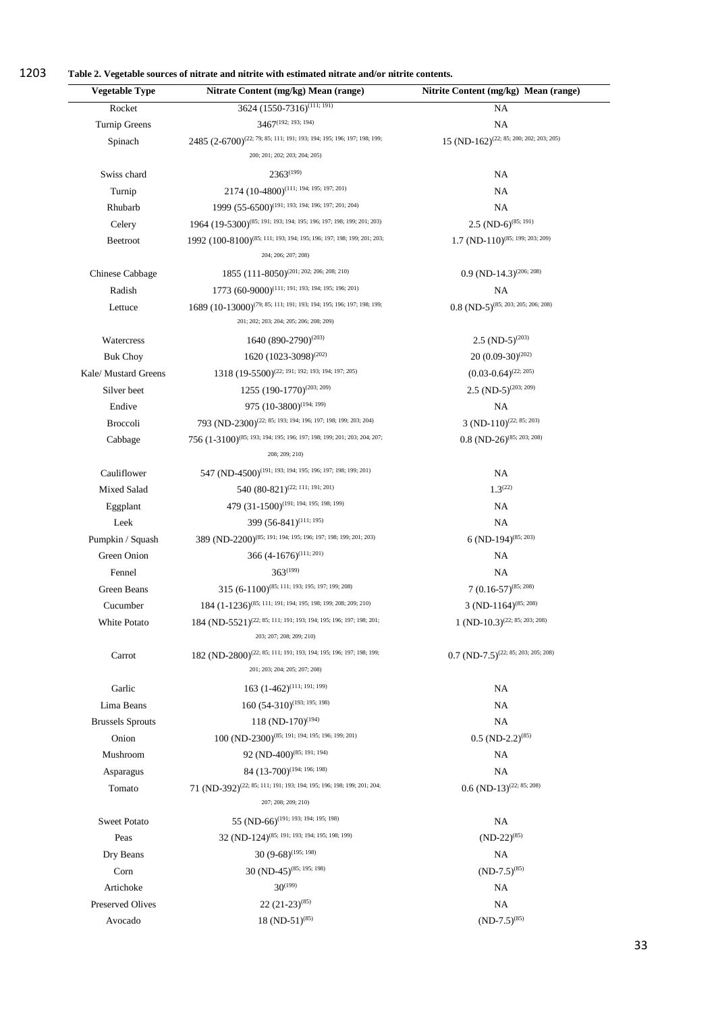1203 **Table 2. Vegetable sources of nitrate and nitrite with estimated nitrate and/or nitrite contents.** 

| <b>Vegetable Type</b>   | Nitrate Content (mg/kg) Mean (range)                                                                            | Nitrite Content (mg/kg) Mean (range)             |
|-------------------------|-----------------------------------------------------------------------------------------------------------------|--------------------------------------------------|
| Rocket                  | 3624 (1550-7316) <sup>(111; 191)</sup>                                                                          | NA                                               |
| Turnip Greens           | $3467$ <sup>(192; 193; 194)</sup>                                                                               | NA                                               |
| Spinach                 | 2485 (2-6700) <sup>(22; 79; 85; 111; 191; 193; 194; 195; 196; 197; 198; 199;</sup>                              | $15 (ND-162)^{(22; 85; 200; 202; 203; 205)}$     |
|                         | 200; 201; 202; 203; 204; 205)                                                                                   |                                                  |
| Swiss chard             | $2363^{(199)}$                                                                                                  | NA                                               |
| Turnip                  | 2174 (10-4800) <sup>(111; 194; 195; 197; 201)</sup>                                                             | NA                                               |
| Rhubarb                 | 1999 (55-6500) <sup>(191; 193; 194; 196; 197; 201; 204)</sup>                                                   | NA                                               |
| Celery                  | 1964 (19-5300) <sup>(85; 191; 193; 194; 195; 196; 197; 198; 199; 201; 203)</sup>                                | $2.5 \text{ (ND-6)}^{(85; 191)}$                 |
| Beetroot                | 1992 (100-8100) <sup>(85; 111; 193; 194; 195; 196; 197; 198; 199; 201; 203;</sup><br>204; 206; 207; 208)        | $1.7 \text{ (ND-110)}^{(85; 199; 203; 209)}$     |
| Chinese Cabbage         | 1855 (111-8050) <sup>(201; 202; 206; 208; 210)</sup>                                                            | $0.9$ (ND-14.3) <sup>(206; 208)</sup>            |
| Radish                  | 1773 (60-9000) <sup>(111; 191; 193; 194; 195; 196; 201)</sup>                                                   | NA                                               |
| Lettuce                 | 1689 (10-13000) <sup>(79; 85; 111; 191; 193; 194; 195; 196; 197; 198; 199;</sup>                                | $0.8$ (ND-5) <sup>(85; 203; 205; 206; 208)</sup> |
|                         | 201; 202; 203; 204; 205; 206; 208; 209)                                                                         |                                                  |
| Watercress              | 1640 (890-2790) <sup>(203)</sup>                                                                                | 2.5 $(ND-5)^{(203)}$                             |
| <b>Buk Choy</b>         | 1620 $(1023-3098)^{(202)}$                                                                                      | $20 (0.09-30)^{(202)}$                           |
| Kale/ Mustard Greens    | 1318 (19-5500) <sup>(22; 191; 192; 193; 194; 197; 205)</sup>                                                    | $(0.03 - 0.64)^{(22, 205)}$                      |
| Silver beet             | 1255 (190-1770) <sup>(203; 209)</sup>                                                                           | $2.5 \text{ (ND-5)}^{(203; 209)}$                |
| Endive                  | 975 (10-3800) <sup>(194; 199)</sup>                                                                             | $\rm NA$                                         |
| <b>Broccoli</b>         | 793 (ND-2300) <sup>(22; 85; 193; 194; 196; 197; 198; 199; 203; 204)</sup>                                       | $3 (ND-110)^{(22; 85; 203)}$                     |
| Cabbage                 | 756 (1-3100) <sup>(85; 193; 194; 195; 196; 197; 198; 199; 201; 203; 204; 207;</sup><br>208; 209; 210)           | $0.8$ (ND-26) <sup>(85; 203; 208)</sup>          |
| Cauliflower             | 547 (ND-4500) <sup>(191; 193; 194; 195; 196; 197; 198; 199; 201)</sup>                                          | NA                                               |
| Mixed Salad             | 540 (80-821) <sup>(22; 111; 191; 201)</sup>                                                                     | $1.3^{(22)}$                                     |
| Eggplant                | 479 (31-1500) <sup>(191; 194; 195; 198; 199)</sup>                                                              | NA                                               |
| Leek                    | 399 (56-841) <sup>(111; 195)</sup>                                                                              | NA                                               |
| Pumpkin / Squash        | 389 (ND-2200) <sup>(85; 191; 194; 195; 196; 197; 198; 199; 201; 203)</sup>                                      | 6 (ND-194) <sup>(85; 203)</sup>                  |
| Green Onion             | 366 (4-1676) <sup>(111; 201)</sup>                                                                              | NA.                                              |
| Fennel                  | $363^{(199)}$                                                                                                   | NA                                               |
| Green Beans             | 315 (6-1100) <sup>(85; 111; 193; 195; 197; 199; 208)</sup>                                                      | 7 $(0.16-57)^{(85; 208)}$                        |
| Cucumber                | 184 (1-1236) <sup>(85; 111; 191; 194; 195; 198; 199; 208; 209; 210)</sup>                                       | 3 (ND-1164) <sup>(85; 208)</sup>                 |
| White Potato            | 184 (ND-5521) <sup>(22; 85; 111; 191; 193; 194; 195; 196; 197; 198; 201;</sup><br>203; 207; 208; 209; 210)      | $1 (ND-10.3)^{(22; 85; 203; 208)}$               |
| Carrot                  | 182 (ND-2800) <sup>(22; 85; 111; 191; 193; 194; 195; 196; 197; 198; 199;</sup><br>201; 203; 204; 205; 207; 208) | $0.7 \text{ (ND-7.5)}^{(22; 85; 203; 205; 208)}$ |
| Garlic                  | 163 $(1-462)^{(111; 191; 199)}$                                                                                 | NA.                                              |
| Lima Beans              | $160 (54-310)^{(193; 195; 198)}$                                                                                | NA.                                              |
| <b>Brussels Sprouts</b> | 118 (ND-170) <sup>(194)</sup>                                                                                   | <b>NA</b>                                        |
| Onion                   | 100 (ND-2300) <sup>(85; 191; 194; 195; 196; 199; 201)</sup>                                                     | $0.5$ (ND-2.2) <sup>(85)</sup>                   |
| Mushroom                | 92 (ND-400) <sup>(85; 191; 194)</sup>                                                                           | NA.                                              |
| Asparagus               | 84 (13-700) <sup>(194; 196; 198)</sup>                                                                          | <b>NA</b>                                        |
| Tomato                  | 71 (ND-392) <sup>(22; 85; 111; 191; 193; 194; 195; 196; 198; 199; 201; 204;</sup>                               | $0.6$ (ND-13) <sup>(22; 85; 208)</sup>           |
|                         | 207; 208; 209; 210)                                                                                             |                                                  |
| <b>Sweet Potato</b>     | 55 (ND-66) <sup>(191; 193; 194; 195; 198)</sup>                                                                 | NA                                               |
| Peas                    | 32 (ND-124) <sup>(85; 191; 193; 194; 195; 198; 199)</sup>                                                       | $(ND-22)^{(85)}$                                 |
| Dry Beans               | 30 $(9-68)^{(195; 198)}$                                                                                        | NA                                               |
| Corn                    | 30 (ND-45) <sup>(85; 195; 198)</sup>                                                                            | $(ND-7.5)^{(85)}$                                |
| Artichoke               | $30^{(199)}$                                                                                                    | NA                                               |
| Preserved Olives        | $22(21-23)^{(85)}$                                                                                              | NA                                               |
|                         |                                                                                                                 | $(ND-7.5)^{(85)}$                                |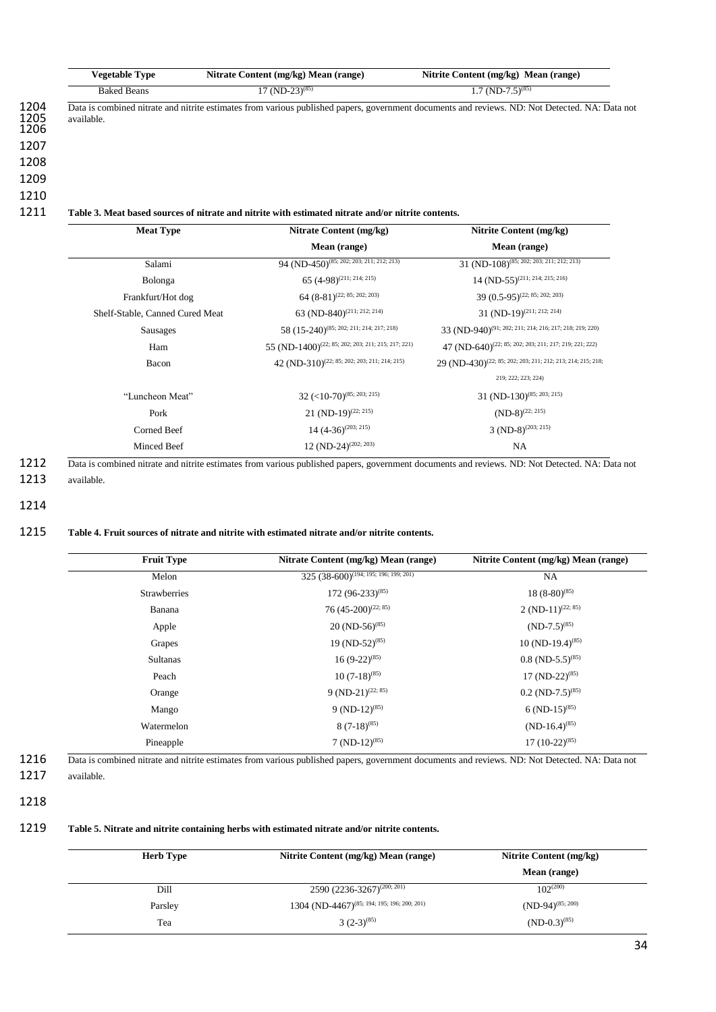| <b>Vegetable Type</b>                                                                              | Nitrate Content (mg/kg) Mean (range)                 | Nitrite Content (mg/kg) Mean (range)                                                                                                           |  |  |
|----------------------------------------------------------------------------------------------------|------------------------------------------------------|------------------------------------------------------------------------------------------------------------------------------------------------|--|--|
| <b>Baked Beans</b>                                                                                 | $17 \text{ (ND-23)}^{(85)}$                          | $1.7 \text{ (ND-7.5)}^{(85)}$                                                                                                                  |  |  |
| available.                                                                                         |                                                      | Data is combined nitrate and nitrite estimates from various published papers, government documents and reviews. ND: Not Detected. NA: Data not |  |  |
|                                                                                                    |                                                      |                                                                                                                                                |  |  |
|                                                                                                    |                                                      |                                                                                                                                                |  |  |
|                                                                                                    |                                                      |                                                                                                                                                |  |  |
| Table 3. Meat based sources of nitrate and nitrite with estimated nitrate and/or nitrite contents. |                                                      |                                                                                                                                                |  |  |
| <b>Meat Type</b>                                                                                   | Nitrate Content (mg/kg)                              | Nitrite Content (mg/kg)                                                                                                                        |  |  |
|                                                                                                    | Mean (range)                                         | Mean (range)                                                                                                                                   |  |  |
| Salami                                                                                             | 94 (ND-450) <sup>(85; 202; 203; 211; 212; 213)</sup> | 31 (ND-108) <sup>(85; 202; 203; 211; 212; 213)</sup>                                                                                           |  |  |
| Bolonga                                                                                            | 65 $(4-98)^{(211; 214; 215)}$                        | 14 (ND-55) <sup>(211; 214; 215; 216)</sup>                                                                                                     |  |  |

| 200000                          | $-0.1201$                                                      | $\cdots$                                                                |  |
|---------------------------------|----------------------------------------------------------------|-------------------------------------------------------------------------|--|
| Frankfurt/Hot dog               | $64 (8-81)^{(22; 85; 202; 203)}$                               | $39$ $(0.5-95)^{(22; 85; 202; 203)}$                                    |  |
| Shelf-Stable, Canned Cured Meat | 63 (ND-840) <sup>(211; 212; 214)</sup>                         | $31 (ND-19)^{(211; 212; 214)}$                                          |  |
| Sausages                        | 58 (15-240) <sup>(85; 202; 211; 214; 217; 218)</sup>           | 33 (ND-940) <sup>(91; 202; 211; 214; 216; 217; 218; 219; 220)</sup>     |  |
| Ham                             | 55 (ND-1400) <sup>(22; 85; 202; 203; 211; 215; 217; 221)</sup> | 47 (ND-640) <sup>(22; 85; 202; 203; 211; 217; 219; 221; 222)</sup>      |  |
| Bacon                           | 42 (ND-310) <sup>(22; 85; 202; 203; 211; 214; 215)</sup>       | 29 (ND-430) <sup>(22; 85; 202; 203; 211; 212; 213; 214; 215; 218;</sup> |  |
|                                 |                                                                | 219; 222; 223; 224)                                                     |  |
| "Luncheon Meat"                 | $32$ (<10-70) <sup>(85; 203; 215)</sup>                        | 31 (ND-130) <sup>(85; 203; 215)</sup>                                   |  |
| Pork                            | 21 (ND-19) <sup>(22; 215)</sup>                                | $(ND-8)^{(22; 215)}$                                                    |  |
| Corned Beef                     | $14 (4-36)^{(203; 215)}$                                       | $3 (ND-8)^{(203; 215)}$                                                 |  |
| Minced Beef                     | 12 (ND-24) <sup>(202; 203)</sup>                               | <b>NA</b>                                                               |  |

1212 Data is combined nitrate and nitrite estimates from various published papers, government documents and reviews. ND: Not Detected. NA: Data not

1213 available.

1214

#### 1215 **Table 4. Fruit sources of nitrate and nitrite with estimated nitrate and/or nitrite contents.**

| <b>Fruit Type</b>   | Nitrate Content (mg/kg) Mean (range)       | Nitrite Content (mg/kg) Mean (range) |
|---------------------|--------------------------------------------|--------------------------------------|
| Melon               | $325 (38-600)^{(194; 195; 196; 199; 201)}$ | NA.                                  |
| <b>Strawberries</b> | $172(96-233)^{(85)}$                       | $18(8-80)^{(85)}$                    |
| Banana              | 76 (45-200) <sup>(22; 85)</sup>            | 2 (ND-11) <sup>(22; 85)</sup>        |
| Apple               | $20 \text{ (ND-56)}^{(85)}$                | $(ND-7.5)^{(85)}$                    |
| Grapes              | 19 (ND-52) <sup>(85)</sup>                 | $10 (ND-19.4)^{(85)}$                |
| <b>Sultanas</b>     | $16(9-22)^{(85)}$                          | $0.8$ (ND-5.5) <sup>(85)</sup>       |
| Peach               | $10(7-18)^{(85)}$                          | $17 \text{ (ND-22)}^{(85)}$          |
| Orange              | 9 (ND-21) <sup>(22; 85)</sup>              | $0.2$ (ND-7.5) <sup>(85)</sup>       |
| Mango               | 9 (ND-12) <sup>(85)</sup>                  | 6 (ND-15) <sup>(85)</sup>            |
| Watermelon          | $8(7-18)^{(85)}$                           | $(ND-16.4)^{(85)}$                   |
| Pineapple           | 7 $(ND-12)^{(85)}$                         | $17(10-22)^{(85)}$                   |

1216 Data is combined nitrate and nitrite estimates from various published papers, government documents and reviews. ND: Not Detected. NA: Data not 1217 available.

1218

## 1219 **Table 5. Nitrate and nitrite containing herbs with estimated nitrate and/or nitrite contents.**

| <b>Herb Type</b> | Nitrite Content (mg/kg) Mean (range)                    | Nitrite Content (mg/kg) |  |
|------------------|---------------------------------------------------------|-------------------------|--|
|                  |                                                         | Mean (range)            |  |
| Dill             | $2590 (2236 - 3267)^{(200; 201)}$                       | $102^{(200)}$           |  |
| Parsley          | 1304 (ND-4467) <sup>(85; 194; 195; 196; 200; 201)</sup> | $(ND-94)^{(85; 200)}$   |  |
| Tea              | $3(2-3)^{(85)}$                                         | $(ND-0.3)^{(85)}$       |  |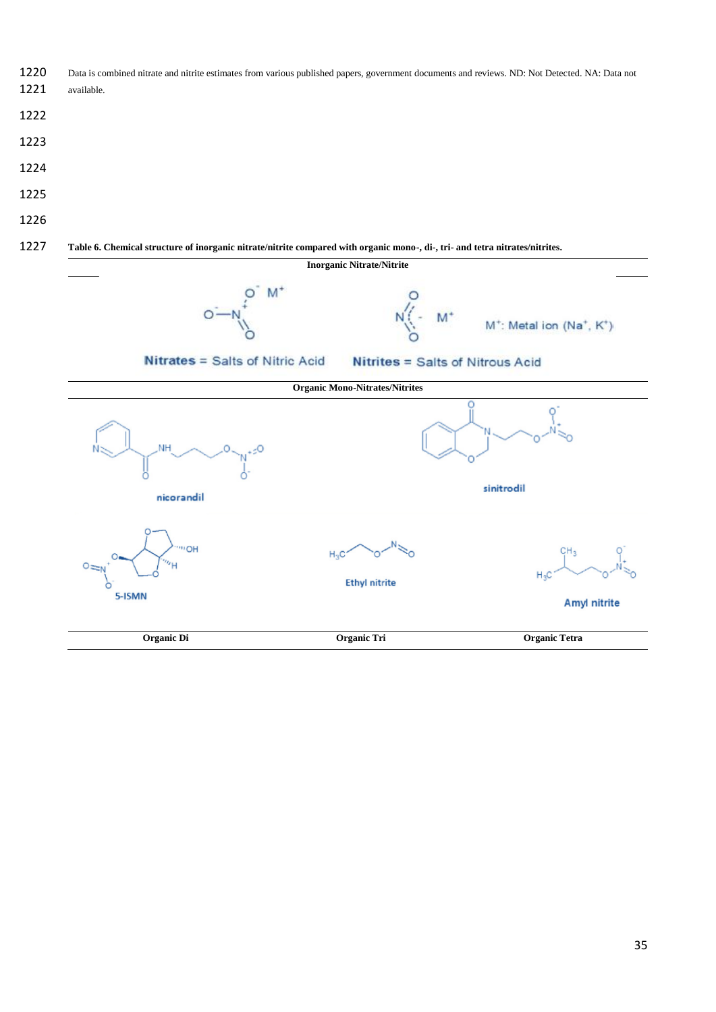- 1220 Data is combined nitrate and nitrite estimates from various published papers, government documents and reviews. ND: Not Detected. NA: Data not
- available.
- 
- 
- 
- 
- 
- 

#### **Table 6. Chemical structure of inorganic nitrate/nitrite compared with organic mono-, di-, tri- and tetra nitrates/nitrites.**